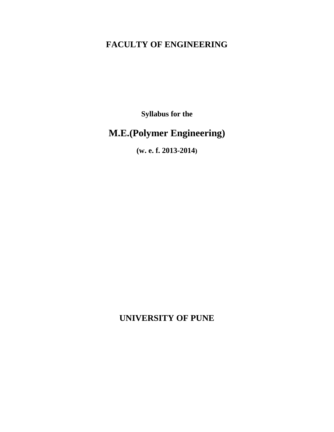# **FACULTY OF ENGINEERING**

**Syllabus for the**

# **M.E.(Polymer Engineering)**

**(w. e. f. 2013-2014)**

**UNIVERSITY OF PUNE**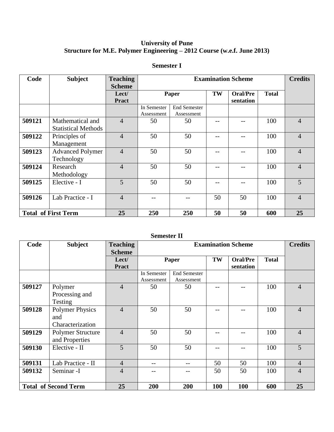# **University of Pune Structure for M.E. Polymer Engineering – 2012 Course (w.e.f. June 2013)**

| Code                       | <b>Subject</b>                                 | <b>Teaching</b><br><b>Scheme</b> | <b>Examination Scheme</b> |                                   |    | <b>Credits</b>               |              |                |
|----------------------------|------------------------------------------------|----------------------------------|---------------------------|-----------------------------------|----|------------------------------|--------------|----------------|
|                            |                                                | Lect/<br><b>Pract</b>            | Paper                     |                                   | TW | <b>Oral/Pre</b><br>sentation | <b>Total</b> |                |
|                            |                                                |                                  | In Semester<br>Assessment | <b>End Semester</b><br>Assessment |    |                              |              |                |
| 509121                     | Mathematical and<br><b>Statistical Methods</b> | $\overline{4}$                   | 50                        | 50                                |    |                              | 100          | $\overline{4}$ |
| 509122                     | Principles of<br>Management                    | $\overline{4}$                   | 50                        | 50                                |    |                              | 100          | $\overline{4}$ |
| 509123                     | <b>Advanced Polymer</b><br>Technology          | $\overline{4}$                   | 50                        | 50                                |    |                              | 100          | $\overline{4}$ |
| 509124                     | Research<br>Methodology                        | 4                                | 50                        | 50                                |    |                              | 100          | $\overline{4}$ |
| 509125                     | Elective - I                                   | 5                                | 50                        | 50                                |    |                              | 100          | 5              |
| 509126                     | Lab Practice - I                               | $\overline{4}$                   |                           |                                   | 50 | 50                           | 100          | $\overline{4}$ |
| <b>Total of First Term</b> |                                                | 25                               | 250                       | 250                               | 50 | 50                           | 600          | 25             |

# **Semester I**

# **Semester II**

| Code                        | <b>Subject</b>         | <b>Teaching</b> | <b>Examination Scheme</b> |                     |     | <b>Credits</b>  |              |                |
|-----------------------------|------------------------|-----------------|---------------------------|---------------------|-----|-----------------|--------------|----------------|
|                             |                        | <b>Scheme</b>   |                           |                     |     |                 |              |                |
|                             |                        | Let/            |                           | Paper               | TW  | <b>Oral/Pre</b> | <b>Total</b> |                |
|                             |                        | <b>Pract</b>    |                           |                     |     | sentation       |              |                |
|                             |                        |                 | In Semester               | <b>End Semester</b> |     |                 |              |                |
|                             |                        |                 | Assessment                | Assessment          |     |                 |              |                |
| 509127                      | Polymer                | $\overline{4}$  | 50                        | 50                  |     |                 | 100          | $\overline{4}$ |
|                             | Processing and         |                 |                           |                     |     |                 |              |                |
|                             | Testing                |                 |                           |                     |     |                 |              |                |
| 509128                      | <b>Polymer Physics</b> | $\overline{4}$  | 50                        | 50                  |     |                 | 100          | $\overline{4}$ |
|                             | and                    |                 |                           |                     |     |                 |              |                |
|                             | Characterization       |                 |                           |                     |     |                 |              |                |
| 509129                      | Polymer Structure      | $\overline{4}$  | 50                        | 50                  |     |                 | 100          | $\overline{4}$ |
|                             | and Properties         |                 |                           |                     |     |                 |              |                |
| 509130                      | Elective - II          | 5               | 50                        | 50                  |     |                 | 100          | 5              |
|                             |                        |                 |                           |                     |     |                 |              |                |
| 509131                      | Lab Practice - II      | $\overline{4}$  |                           |                     | 50  | 50              | 100          | $\overline{4}$ |
| 509132                      | Seminar <sub>-I</sub>  | $\overline{4}$  |                           |                     | 50  | 50              | 100          | $\overline{4}$ |
|                             |                        |                 |                           |                     |     |                 |              |                |
| <b>Total of Second Term</b> |                        | 25              | 200                       | 200                 | 100 | 100             | 600          | 25             |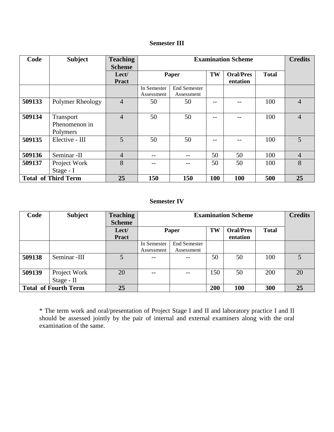# **Semester III**

| Code                       | <b>Subject</b>   | <b>Teaching</b> | <b>Examination Scheme</b> |                     |     | <b>Credits</b>   |              |                |
|----------------------------|------------------|-----------------|---------------------------|---------------------|-----|------------------|--------------|----------------|
|                            |                  | <b>Scheme</b>   |                           |                     |     |                  |              |                |
|                            |                  | Lect/           | Paper                     |                     | TW  | <b>Oral/Pres</b> | <b>Total</b> |                |
|                            |                  | <b>Pract</b>    |                           |                     |     | entation         |              |                |
|                            |                  |                 | In Semester               | <b>End Semester</b> |     |                  |              |                |
|                            |                  |                 | Assessment                | Assessment          |     |                  |              |                |
| 509133                     | Polymer Rheology | $\overline{4}$  | 50                        | 50                  |     |                  | 100          | $\overline{4}$ |
|                            |                  |                 |                           |                     |     |                  |              |                |
| 509134                     | <b>Transport</b> | $\overline{4}$  | 50                        | 50                  | --  |                  | 100          | $\overline{4}$ |
|                            | Phenomenon in    |                 |                           |                     |     |                  |              |                |
|                            | Polymers         |                 |                           |                     |     |                  |              |                |
| 509135                     | Elective - III   | $\overline{5}$  | 50                        | 50                  | --  |                  | 100          | $\overline{5}$ |
|                            |                  |                 |                           |                     |     |                  |              |                |
| 509136                     | Seminar -II      | $\overline{4}$  |                           | --                  | 50  | 50               | 100          | $\overline{4}$ |
| 509137                     | Project Work     | 8               |                           |                     | 50  | 50               | 100          | 8              |
|                            | Stage - I        |                 |                           |                     |     |                  |              |                |
| <b>Total of Third Term</b> |                  | 25              | 150                       | 150                 | 100 | 100              | 500          | 25             |

### **Semester IV**

| Code                        | <b>Subject</b> | <b>Teaching</b><br><b>Scheme</b> | <b>Examination Scheme</b> |                     |     | <b>Credits</b>               |              |    |
|-----------------------------|----------------|----------------------------------|---------------------------|---------------------|-----|------------------------------|--------------|----|
|                             |                | Lect/<br><b>Pract</b>            |                           | Paper               | TW  | <b>Oral/Pres</b><br>entation | <b>Total</b> |    |
|                             |                |                                  | In Semester               | <b>End Semester</b> |     |                              |              |    |
|                             |                |                                  | Assessment                | Assessment          |     |                              |              |    |
| 509138                      | Seminar -III   | $5^{\circ}$                      | $- -$                     | $- -$               | 50  | 50                           | 100          |    |
|                             |                | 20                               |                           |                     | 150 | 50                           | 200          | 20 |
| 509139                      | Project Work   |                                  | --                        | $ -$                |     |                              |              |    |
|                             | Stage - II     |                                  |                           |                     |     |                              |              |    |
| <b>Total of Fourth Term</b> |                | 25                               |                           |                     | 200 | <b>100</b>                   | 300          | 25 |

\* The term work and oral/presentation of Project Stage I and II and laboratory practice I and II should be assessed jointly by the pair of internal and external examiners along with the oral examination of the same.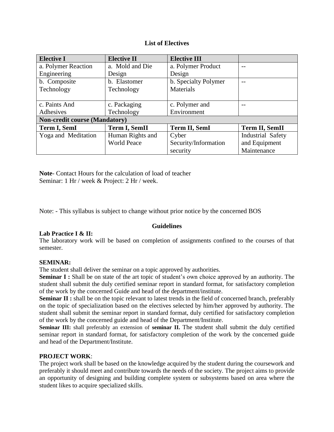### **List of Electives**

| <b>Elective I</b>                    | <b>Elective II</b>                    | <b>Elective III</b>  |                   |  |  |  |  |
|--------------------------------------|---------------------------------------|----------------------|-------------------|--|--|--|--|
| a. Polymer Reaction                  | a. Mold and Die<br>a. Polymer Product |                      |                   |  |  |  |  |
| Engineering<br>Design                |                                       | Design               |                   |  |  |  |  |
| b. Composite                         | b. Elastomer                          | b. Specialty Polymer |                   |  |  |  |  |
| Technology                           | Technology                            | <b>Materials</b>     |                   |  |  |  |  |
|                                      |                                       |                      |                   |  |  |  |  |
| c. Paints And                        | c. Packaging                          | c. Polymer and       |                   |  |  |  |  |
| Adhesives                            | Technology                            | Environment          |                   |  |  |  |  |
| <b>Non-credit course (Mandatory)</b> |                                       |                      |                   |  |  |  |  |
| Term I, SemI                         | <b>Term I, SemII</b>                  | <b>Term II, SemI</b> | Term II, SemII    |  |  |  |  |
| Yoga and Meditation                  | Human Rights and                      | Cyber                | Industrial Safety |  |  |  |  |
|                                      | <b>World Peace</b>                    | Security/Information | and Equipment     |  |  |  |  |
|                                      |                                       | security             | Maintenance       |  |  |  |  |

**Note**- Contact Hours for the calculation of load of teacher Seminar: 1 Hr / week & Project: 2 Hr / week.

Note: - This syllabus is subject to change without prior notice by the concerned BOS

### **Guidelines**

### **Lab Practice I & II:**

The laboratory work will be based on completion of assignments confined to the courses of that semester.

### **SEMINAR:**

The student shall deliver the seminar on a topic approved by authorities.

**Seminar I :** Shall be on state of the art topic of student's own choice approved by an authority. The student shall submit the duly certified seminar report in standard format, for satisfactory completion of the work by the concerned Guide and head of the department/institute.

**Seminar II :** shall be on the topic relevant to latest trends in the field of concerned branch, preferably on the topic of specialization based on the electives selected by him/her approved by authority. The student shall submit the seminar report in standard format, duly certified for satisfactory completion of the work by the concerned guide and head of the Department/Institute.

**Seminar III:** shall preferably an extension of **seminar II.** The student shall submit the duly certified seminar report in standard format, for satisfactory completion of the work by the concerned guide and head of the Department/Institute.

### **PROJECT WORK**:

The project work shall be based on the knowledge acquired by the student during the coursework and preferably it should meet and contribute towards the needs of the society. The project aims to provide an opportunity of designing and building complete system or subsystems based on area where the student likes to acquire specialized skills.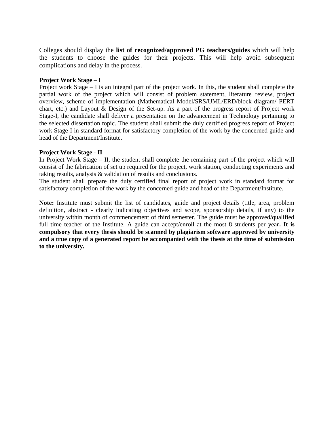Colleges should display the **list of recognized/approved PG teachers/guides** which will help the students to choose the guides for their projects. This will help avoid subsequent complications and delay in the process.

#### **Project Work Stage – I**

Project work Stage – I is an integral part of the project work. In this, the student shall complete the partial work of the project which will consist of problem statement, literature review, project overview, scheme of implementation (Mathematical Model/SRS/UML/ERD/block diagram/ PERT chart, etc.) and Layout & Design of the Set-up. As a part of the progress report of Project work Stage-I, the candidate shall deliver a presentation on the advancement in Technology pertaining to the selected dissertation topic. The student shall submit the duly certified progress report of Project work Stage-I in standard format for satisfactory completion of the work by the concerned guide and head of the Department/Institute.

#### **Project Work Stage - II**

In Project Work Stage – II, the student shall complete the remaining part of the project which will consist of the fabrication of set up required for the project, work station, conducting experiments and taking results, analysis & validation of results and conclusions.

The student shall prepare the duly certified final report of project work in standard format for satisfactory completion of the work by the concerned guide and head of the Department/Institute.

**Note:** Institute must submit the list of candidates, guide and project details (title, area, problem definition, abstract - clearly indicating objectives and scope, sponsorship details, if any) to the university within month of commencement of third semester. The guide must be approved/qualified full time teacher of the Institute. A guide can accept/enroll at the most 8 students per year**. It is compulsory that every thesis should be scanned by plagiarism software approved by university and a true copy of a generated report be accompanied with the thesis at the time of submission to the university.**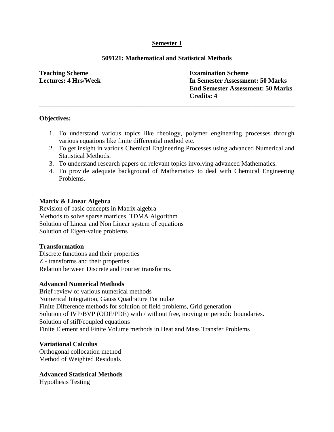# **Semester I**

# **509121: Mathematical and Statistical Methods**

**\_\_\_\_\_\_\_\_\_\_\_\_\_\_\_\_\_\_\_\_\_\_\_\_\_\_\_\_\_\_\_\_\_\_\_\_\_\_\_\_\_\_\_\_\_\_\_\_\_\_\_\_\_\_\_\_\_\_\_\_\_\_\_\_\_\_\_\_\_\_\_\_\_\_\_\_\_\_**

**Teaching Scheme Lectures: 4 Hrs/Week** **Examination Scheme In Semester Assessment: 50 Marks End Semester Assessment: 50 Marks Credits: 4**

### **Objectives:**

- 1. To understand various topics like rheology, polymer engineering processes through various equations like finite differential method etc.
- 2. To get insight in various Chemical Engineering Processes using advanced Numerical and Statistical Methods.
- 3. To understand research papers on relevant topics involving advanced Mathematics.
- 4. To provide adequate background of Mathematics to deal with Chemical Engineering Problems.

### **Matrix & Linear Algebra**

Revision of basic concepts in Matrix algebra Methods to solve sparse matrices, TDMA Algorithm Solution of Linear and Non Linear system of equations Solution of Eigen-value problems

#### **Transformation**

Discrete functions and their properties Z - transforms and their properties Relation between Discrete and Fourier transforms.

#### **Advanced Numerical Methods**

Brief review of various numerical methods Numerical Integration, Gauss Quadrature Formulae Finite Difference methods for solution of field problems, Grid generation Solution of IVP/BVP (ODE/PDE) with / without free, moving or periodic boundaries. Solution of stiff/coupled equations Finite Element and Finite Volume methods in Heat and Mass Transfer Problems

### **Variational Calculus**

Orthogonal collocation method Method of Weighted Residuals

### **Advanced Statistical Methods**

Hypothesis Testing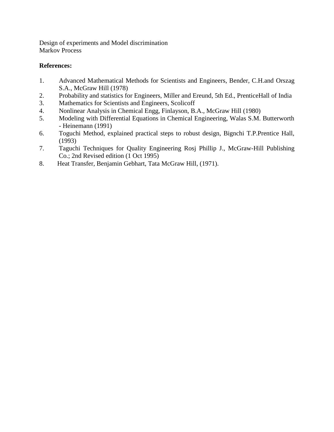Design of experiments and Model discrimination Markov Process

- 1. Advanced Mathematical Methods for Scientists and Engineers, Bender, C.H.and Orszag S.A., McGraw Hill (1978)
- 2. Probability and statistics for Engineers, Miller and Ereund, 5th Ed., PrenticeHall of India
- 3. Mathematics for Scientists and Engineers, Scolicoff
- 4. Nonlinear Analysis in Chemical Engg, Finlayson, B.A., McGraw Hill (1980)
- 5. Modeling with Differential Equations in Chemical Engineering, Walas S.M. Butterworth - Heinemann (1991)
- 6. Toguchi Method, explained practical steps to robust design, Bignchi T.P.Prentice Hall, (1993)
- 7. Taguchi Techniques for Quality Engineering Rosj Phillip J., McGraw-Hill Publishing Co.; 2nd Revised edition (1 Oct 1995)
- 8. Heat Transfer, Benjamin Gebhart, Tata McGraw Hill, (1971).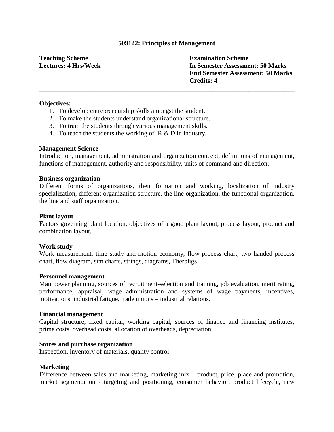#### **509122: Principles of Management**

**\_\_\_\_\_\_\_\_\_\_\_\_\_\_\_\_\_\_\_\_\_\_\_\_\_\_\_\_\_\_\_\_\_\_\_\_\_\_\_\_\_\_\_\_\_\_\_\_\_\_\_\_\_\_\_\_\_\_\_\_\_\_\_\_\_\_\_\_\_\_\_\_\_\_\_\_\_\_**

**Teaching Scheme Lectures: 4 Hrs/Week** **Examination Scheme In Semester Assessment: 50 Marks End Semester Assessment: 50 Marks Credits: 4**

#### **Objectives:**

- 1. To develop entrepreneurship skills amongst the student.
- 2. To make the students understand organizational structure.
- 3. To train the students through various management skills.
- 4. To teach the students the working of R & D in industry.

#### **Management Science**

Introduction, management, administration and organization concept, definitions of management, functions of management, authority and responsibility, units of command and direction.

#### **Business organization**

Different forms of organizations, their formation and working, localization of industry specialization, different organization structure, the line organization, the functional organization, the line and staff organization.

#### **Plant layout**

Factors governing plant location, objectives of a good plant layout, process layout, product and combination layout.

#### **Work study**

Work measurement, time study and motion economy, flow process chart, two handed process chart, flow diagram, sim charts, strings, diagrams, Therbligs

#### **Personnel management**

Man power planning, sources of recruitment-selection and training, job evaluation, merit rating, performance, appraisal, wage administration and systems of wage payments, incentives, motivations, industrial fatigue, trade unions – industrial relations.

#### **Financial management**

Capital structure, fixed capital, working capital, sources of finance and financing institutes, prime costs, overhead costs, allocation of overheads, depreciation.

#### **Stores and purchase organization**

Inspection, inventory of materials, quality control

#### **Marketing**

Difference between sales and marketing, marketing mix – product, price, place and promotion, market segmentation - targeting and positioning, consumer behavior, product lifecycle, new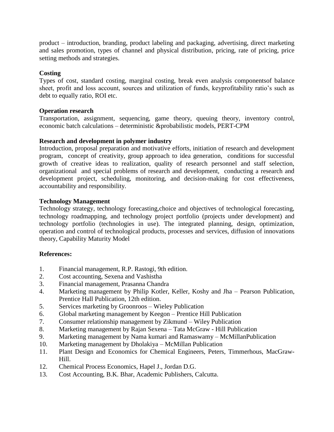product – introduction, branding, product labeling and packaging, advertising, direct marketing and sales promotion, types of channel and physical distribution, pricing, rate of pricing, price setting methods and strategies.

# **Costing**

Types of cost, standard costing, marginal costing, break even analysis componentsof balance sheet, profit and loss account, sources and utilization of funds, keyprofitability ratio's such as debt to equally ratio, ROI etc.

### **Operation research**

Transportation, assignment, sequencing, game theory, queuing theory, inventory control, economic batch calculations – deterministic &probabilistic models, PERT-CPM

# **Research and development in polymer industry**

Introduction, proposal preparation and motivative efforts, initiation of research and development program, concept of creativity, group approach to idea generation, conditions for successful growth of creative ideas to realization, quality of research personnel and staff selection, organizational and special problems of research and development, conducting a research and development project, scheduling, monitoring, and decision-making for cost effectiveness, accountability and responsibility.

# **Technology Management**

Technology strategy, [technology forecasting,](http://en.wikipedia.org/wiki/Technology_forecasting)choice and objectives of technological forecasting, technology roadmapping, and technology project portfolio (projects under development) and technology portfolio (technologies in use). The integrated planning, design, optimization, operation and control of technological products, processes and services, [diffusion of innovations](http://en.wikipedia.org/wiki/Diffusion_of_innovations) theory, [Capability Maturity Model](http://en.wikipedia.org/wiki/Capability_Maturity_Model)

- 1. Financial management, R.P. Rastogi, 9th edition.
- 2. Cost accounting, Sexena and Vashistha
- 3. Financial management, Prasanna Chandra
- 4. Marketing management by Philip Kotler, Keller, Koshy and Jha Pearson Publication, Prentice Hall Publication, 12th edition.
- 5. Services marketing by Groonroos Wieley Publication
- 6. Global marketing management by Keegon Prentice Hill Publication
- 7. Consumer relationship management by Zikmund Wiley Publication
- 8. Marketing management by Rajan Sexena Tata McGraw Hill Publication
- 9. Marketing management by Nama kumari and Ramaswamy McMillanPublication
- 10. Marketing management by Dholakiya McMillan Publication
- 11. Plant Design and Economics for Chemical Engineers, Peters, Timmerhous, MacGraw-Hill.
- 12. Chemical Process Economics, Hapel J., Jordan D.G.
- 13. Cost Accounting, B.K. Bhar, Academic Publishers, Calcutta.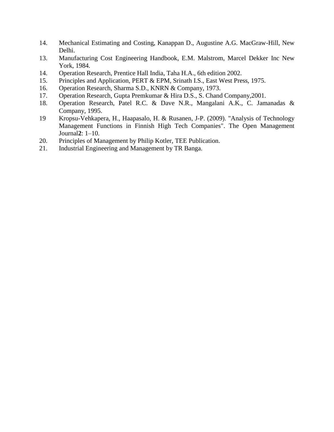- 14. Mechanical Estimating and Costing, Kanappan D., Augustine A.G. MacGraw-Hill, New Delhi.
- 13. Manufacturing Cost Engineering Handbook, E.M. Malstrom, Marcel Dekker Inc New York, 1984.
- 14. Operation Research, Prentice Hall India, Taha H.A., 6th edition 2002.
- 15. Principles and Application, PERT & EPM, Srinath I.S., East West Press, 1975.
- 16. Operation Research, Sharma S.D., KNRN & Company, 1973.
- 17. Operation Research, Gupta Premkumar & Hira D.S., S. Chand Company,2001.
- 18. Operation Research, Patel R.C. & Dave N.R., Mangalani A.K., C. Jamanadas & Company, 1995.
- 19 Kropsu-Vehkapera, H., Haapasalo, H. & Rusanen, J-P. (2009). ["Analysis of Technology](http://www.bentham-open.org/pages/content.php?TOMANAJ/2009/00000002/00000001/1TOMANAJ.SGM)  [Management Functions in Finnish High Tech Companies".](http://www.bentham-open.org/pages/content.php?TOMANAJ/2009/00000002/00000001/1TOMANAJ.SGM) The Open Management Journal**2**: 1–10.
- 20. Principles of Management by Philip Kotler, TEE Publication.
- 21. Industrial Engineering and Management by TR Banga.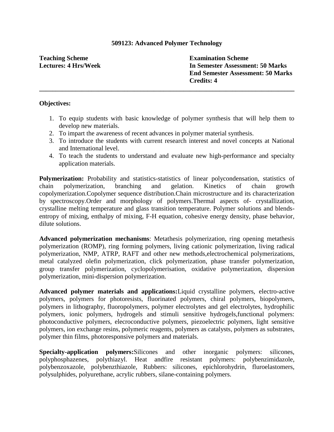#### **509123: Advanced Polymer Technology**

**\_\_\_\_\_\_\_\_\_\_\_\_\_\_\_\_\_\_\_\_\_\_\_\_\_\_\_\_\_\_\_\_\_\_\_\_\_\_\_\_\_\_\_\_\_\_\_\_\_\_\_\_\_\_\_\_\_\_\_\_\_\_\_\_\_\_\_\_\_\_\_\_\_\_\_\_\_\_**

**Teaching Scheme Lectures: 4 Hrs/Week** **Examination Scheme In Semester Assessment: 50 Marks End Semester Assessment: 50 Marks Credits: 4**

#### **Objectives:**

- 1. To equip students with basic knowledge of polymer synthesis that will help them to develop new materials.
- 2. To impart the awareness of recent advances in polymer material synthesis.
- 3. To introduce the students with current research interest and novel concepts at National and International level.
- 4. To teach the students to understand and evaluate new high-performance and specialty application materials.

**Polymerization:** Probability and statistics-statistics of linear polycondensation, statistics of chain polymerization, branching and gelation. Kinetics of chain growth copolymerization.Copolymer sequence distribution.Chain microstructure and its characterization by spectroscopy.Order and morphology of polymers.Thermal aspects of- crystallization, crystalline melting temperature and glass transition temperature. Polymer solutions and blendsentropy of mixing, enthalpy of mixing, F-H equation, cohesive energy density, phase behavior, dilute solutions.

**Advanced polymerization mechanisms**: Metathesis polymerization, ring opening metathesis polymerization (ROMP), ring forming polymers, living cationic polymerization, living radical polymerization, NMP, ATRP, RAFT and other new methods,electrochemical polymerizations, metal catalyzed olefin polymerization, click polymerization, phase transfer polymerization, group transfer polymerization, cyclopolymerisation, oxidative polymerization, dispersion polymerization, mini-dispersion polymerization.

**Advanced polymer materials and applications:**Liquid crystalline polymers, electro-active polymers, polymers for photoresists, fluorinated polymers, chiral polymers, biopolymers, polymers in lithography, fluoropolymers, polymer electrolytes and gel electrolytes, hydrophilic polymers, ionic polymers, hydrogels and stimuli sensitive hydrogels,functional polymers: photoconductive polymers, elecroconductive polymers, piezoelectric polymers, light sensitive polymers, ion exchange resins, polymeric reagents, polymers as catalysts, polymers as substrates, polymer thin films, photoresponsive polymers and materials.

**Specialty-application polymers:**Silicones and other inorganic polymers: silicones, polyphosphazenes, polythiazyl. Heat andfire resistant polymers: polybenzimidazole, polybenzoxazole, polybenzthiazole, Rubbers: silicones, epichlorohydrin, fluroelastomers, polysulphides, polyurethane, acrylic rubbers, silane-containing polymers.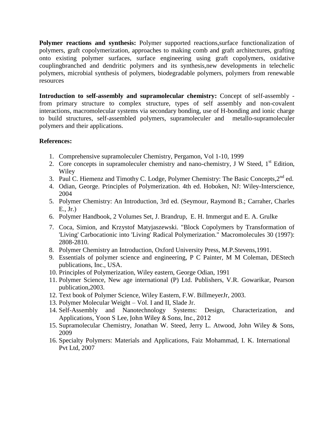**Polymer reactions and synthesis:** Polymer supported reactions,surface functionalization of polymers, graft copolymerization, approaches to making comb and graft architectures, grafting onto existing polymer surfaces, surface engineering using graft copolymers, oxidative couplingbranched and dendritic polymers and its synthesis,new developments in telechelic polymers, microbial synthesis of polymers, biodegradable polymers, polymers from renewable resources

**Introduction to self-assembly and supramolecular chemistry:** Concept of self-assembly from primary structure to complex structure, types of self assembly and non-covalent interactions, macromolecular systems via secondary bonding, use of H-bonding and ionic charge to build structures, self-assembled polymers, supramoleculer and metallo-supramoleculer polymers and their applications.

- 1. Comprehensive supramoleculer Chemistry, Pergamon, Vol 1-10, 1999
- 2. Core concepts in supramoleculer chemistry and nano-chemistry, J W Steed, 1<sup>st</sup> Edition, Wiley
- 3. Paul C. Hiemenz and Timothy C. Lodge, [Polymer Chemistry: The Basic Concepts,](http://www.crcpress.com/product/isbn/9781574447798) 2<sup>nd</sup> ed.
- 4. Odian, George. Principles of Polymerization. 4th ed. Hoboken, NJ: Wiley-Interscience, 2004
- 5. Polymer Chemistry: An Introduction, 3rd ed. (Seymour, Raymond B.; Carraher, Charles E., Jr.)
- 6. Polymer Handbook, 2 Volumes Set, [J. Brandrup,](http://www.amazon.com/J.-Brandrup/e/B001HP49VS/ref=ntt_athr_dp_pel_1) [E. H. Immergut](http://www.amazon.com/E.-H.-Immergut/e/B001HP8IKQ/ref=ntt_athr_dp_pel_2) and [E. A. Grulke](http://www.amazon.com/s/ref=ntt_athr_dp_sr_3?_encoding=UTF8&field-author=E.%20A.%20Grulke&search-alias=books&sort=relevancerank)
- 7. Coca, Simion, and Krzystof Matyjaszewski. "Block Copolymers by Transformation of 'Living' Carbocationic into 'Living' Radical Polymerization." Macromolecules 30 (1997): 2808-2810.
- 8. Polymer Chemistry an Introduction, Oxford University Press, M.P.Stevens,1991.
- 9. Essentials of polymer science and engineering, P C Painter, M M Coleman, DEStech publications, Inc., USA.
- 10. Principles of Polymerization, Wiley eastern, George Odian, 1991
- 11. Polymer Science, New age international (P) Ltd. Publishers, V.R. Gowarikar, Pearson publication,2003.
- 12. Text book of Polymer Science, Wiley Eastern, F.W. BillmeyerJr, 2003.
- 13. Polymer Molecular Weight Vol. I and II, Slade Jr.
- 14. Self-Assembly and Nanotechnology Systems: Design, Characterization, and Applications, Yoon S Lee, John Wiley & Sons, Inc., 2012
- 15. Supramolecular Chemistry, [Jonathan W. Steed,](http://www.google.co.in/search?tbo=p&tbm=bks&q=inauthor:%22Jonathan+W.+Steed%22) [Jerry L. Atwood,](http://www.google.co.in/search?tbo=p&tbm=bks&q=inauthor:%22Jerry+L.+Atwood%22) John Wiley & Sons, 2009
- 16. Specialty Polymers: Materials and Applications, Faiz Mohammad, I. K. International Pvt Ltd, 2007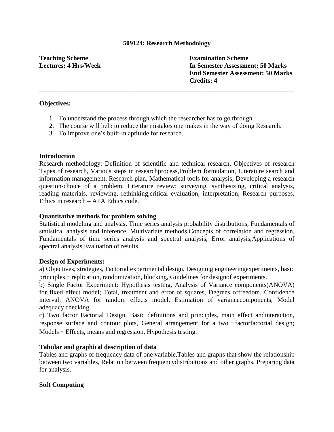### **509124: Research Methodology**

# **Teaching Scheme Lectures: 4 Hrs/Week**

**Examination Scheme In Semester Assessment: 50 Marks End Semester Assessment: 50 Marks Credits: 4**

# **Objectives:**

- 1. To understand the process through which the researcher has to go through.
- 2. The course will help to reduce the mistakes one makes in the way of doing Research.

**\_\_\_\_\_\_\_\_\_\_\_\_\_\_\_\_\_\_\_\_\_\_\_\_\_\_\_\_\_\_\_\_\_\_\_\_\_\_\_\_\_\_\_\_\_\_\_\_\_\_\_\_\_\_\_\_\_\_\_\_\_\_\_\_\_\_\_\_\_\_\_\_\_\_\_\_\_\_**

3. To improve one"s built-in aptitude for research.

### **Introduction**

Research methodology: Definition of scientific and technical research, Objectives of research Types of research, Various steps in researchprocess,Problem formulation, Literature search and information management, Research plan, Mathematical tools for analysis, Developing a research question-choice of a problem, Literature review: surveying, synthesizing, critical analysis, reading materials, reviewing, rethinking,critical evaluation, interpretation, Research purposes, Ethics in research – APA Ethics code.

### **Quantitative methods for problem solving**

Statistical modeling and analysis, Time series analysis probability distributions, Fundamentals of statistical analysis and inference, Multivariate methods,Concepts of correlation and regression, Fundamentals of time series analysis and spectral analysis, Error analysis,Applications of spectral analysis,Evaluation of results.

#### **Design of Experiments:**

a) Objectives, strategies, Factorial experimental design, Designing engineeringexperiments, basic principles - replication, randomization, blocking, Guidelines for designof experiments.

b) Single Factor Experiment: Hypothesis testing, Analysis of Variance components(ANOVA) for fixed effect model; Total, treatment and error of squares, Degrees offreedom, Confidence interval; ANOVA for random effects model, Estimation of variancecomponents, Model adequacy checking.

c) Two factor Factorial Design, Basic definitions and principles, main effect andinteraction, response surface and contour plots, General arrangement for a two - factorfactorial design; Models - Effects, means and regression, Hypothesis testing.

### **Tabular and graphical description of data**

Tables and graphs of frequency data of one variable,Tables and graphs that show the relationship between two variables, Relation between frequencydistributions and other graphs, Preparing data for analysis.

### **Soft Computing**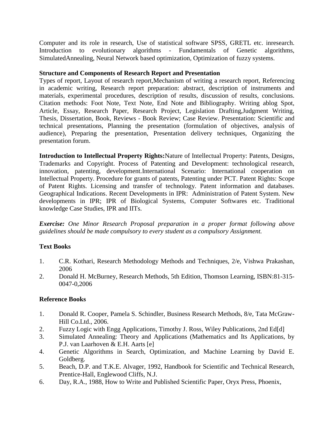Computer and its role in research, Use of statistical software SPSS, GRETL etc. inresearch. Introduction to evolutionary algorithms - Fundamentals of Genetic algorithms, SimulatedAnnealing, Neural Network based optimization, Optimization of fuzzy systems.

# **Structure and Components of Research Report and Presentation**

Types of report, Layout of research report,Mechanism of writing a research report, Referencing in academic writing, Research report preparation: abstract, description of instruments and materials, experimental procedures, description of results, discussion of results, conclusions. Citation methods: Foot Note, Text Note, End Note and Bibliography. Writing ablog Spot, Article, Essay, Research Paper, Research Project, Legislation Drafting,Judgment Writing, Thesis, Dissertation, Book, Reviews - Book Review; Case Review. Presentation: Scientific and technical presentations, Planning the presentation (formulation of objectives, analysis of audience), Preparing the presentation, Presentation delivery techniques, Organizing the presentation forum.

**Introduction to Intellectual Property Rights:**Nature of Intellectual Property: Patents, Designs, Trademarks and Copyright. Process of Patenting and Development: technological research, innovation, patenting, development.International Scenario: International cooperation on Intellectual Property. Procedure for grants of patents, Patenting under PCT. Patent Rights: Scope of Patent Rights. Licensing and transfer of technology. Patent information and databases. Geographical Indications. Recent Developments in IPR: Administration of Patent System. New developments in IPR; IPR of Biological Systems, Computer Softwares etc. Traditional knowledge Case Studies, IPR and IITs.

*Exercise: One Minor Research Proposal preparation in a proper format following above guidelines should be made compulsory to every student as a compulsory Assignment.*

# **Text Books**

- 1. C.R. Kothari, Research Methodology Methods and Techniques, 2/e, Vishwa Prakashan, 2006
- 2. Donald H. McBurney, Research Methods, 5th Edition, Thomson Learning, ISBN:81-315- 0047-0,2006

# **Reference Books**

- 1. Donald R. Cooper, Pamela S. Schindler, Business Research Methods, 8/e, Tata McGraw-Hill Co.Ltd., 2006.
- 2. Fuzzy Logic with Engg Applications, Timothy J. Ross, Wiley Publications, 2nd Ed[d]
- 3. Simulated Annealing: Theory and Applications (Mathematics and Its Applications, by P.J. van Laarhoven & E.H. Aarts [e]
- 4. Genetic Algorithms in Search, Optimization, and Machine Learning by David E. Goldberg.
- 5. Beach, D.P. and T.K.E. Alvager, 1992, Handbook for Scientific and Technical Research, Prentice-Hall, Englewood Cliffs, N.J.
- 6. Day, R.A., 1988, How to Write and Published Scientific Paper, Oryx Press, Phoenix,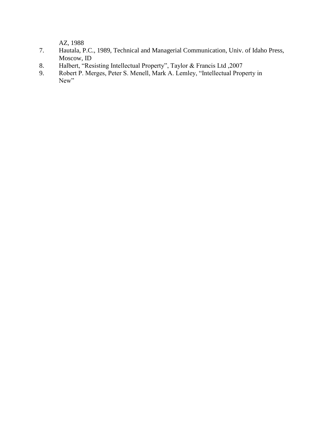AZ, 1988

- 7. Hautala, P.C., 1989, Technical and Managerial Communication, Univ. of Idaho Press, Moscow, ID
- 8. Halbert, "Resisting Intellectual Property", Taylor & Francis Ltd ,2007
- 9. Robert P. Merges, Peter S. Menell, Mark A. Lemley, "Intellectual Property in New"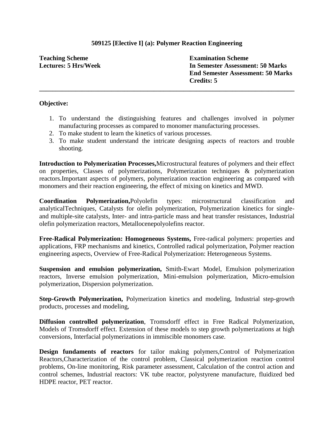# **509125 [Elective I] (a): Polymer Reaction Engineering**

**\_\_\_\_\_\_\_\_\_\_\_\_\_\_\_\_\_\_\_\_\_\_\_\_\_\_\_\_\_\_\_\_\_\_\_\_\_\_\_\_\_\_\_\_\_\_\_\_\_\_\_\_\_\_\_\_\_\_\_\_\_\_\_\_\_\_\_\_\_\_\_\_\_\_\_\_\_\_**

**Teaching Scheme Lectures: 5 Hrs/Week** **Examination Scheme In Semester Assessment: 50 Marks End Semester Assessment: 50 Marks Credits: 5**

#### **Objective:**

- 1. To understand the distinguishing features and challenges involved in polymer manufacturing processes as compared to monomer manufacturing processes.
- 2. To make student to learn the kinetics of various processes.
- 3. To make student understand the intricate designing aspects of reactors and trouble shooting.

**Introduction to Polymerization Processes,**Microstructural features of polymers and their effect on properties, Classes of polymerizations, Polymerization techniques & polymerization reactors.Important aspects of polymers, polymerization reaction engineering as compared with monomers and their reaction engineering, the effect of mixing on kinetics and MWD.

**Coordination Polymerization,**Polyolefin types: microstructural classification and analyticalTechniques, Catalysts for olefin polymerization, Polymerization kinetics for singleand multiple-site catalysts, Inter- and intra-particle mass and heat transfer resistances, Industrial olefin polymerization reactors, Metallocenepolyolefins reactor.

**Free-Radical Polymerization: Homogeneous Systems,** Free-radical polymers: properties and applications, FRP mechanisms and kinetics, Controlled radical polymerization, Polymer reaction engineering aspects, Overview of Free-Radical Polymerization: Heterogeneous Systems.

**Suspension and emulsion polymerization,** Smith-Ewart Model, Emulsion polymerization reactors, Inverse emulsion polymerization, Mini-emulsion polymerization, Micro-emulsion polymerization, Dispersion polymerization.

**Step-Growth Polymerization,** Polymerization kinetics and modeling, Industrial step-growth products, processes and modeling,

**Diffusion controlled polymerization**, Tromsdorff effect in Free Radical Polymerization, Models of Tromsdorff effect. Extension of these models to step growth polymerizations at high conversions, Interfacial polymerizations in immiscible monomers case.

**Design fundaments of reactors** for tailor making polymers,Control of Polymerization Reactors,Characterization of the control problem, Classical polymerization reaction control problems, On-line monitoring, Risk parameter assessment, Calculation of the control action and control schemes, Industrial reactors: VK tube reactor, polystyrene manufacture, fluidized bed HDPE reactor, PET reactor.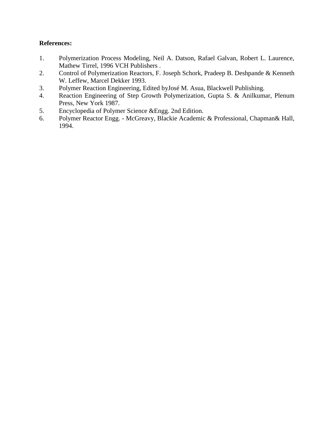- 1. Polymerization Process Modeling, Neil A. Datson, Rafael Galvan, Robert L. Laurence, Mathew Tirrel, 1996 VCH Publishers .
- 2. Control of Polymerization Reactors, F. Joseph Schork, Pradeep B. Deshpande & Kenneth W. Leffew, Marcel Dekker 1993.
- 3. Polymer Reaction Engineering, Edited byJosé M. Asua, Blackwell Publishing.
- 4. Reaction Engineering of Step Growth Polymerization, Gupta S. & Anilkumar, Plenum Press, New York 1987.
- 5. Encyclopedia of Polymer Science &Engg. 2nd Edition.
- 6. Polymer Reactor Engg. McGreavy, Blackie Academic & Professional, Chapman& Hall, 1994.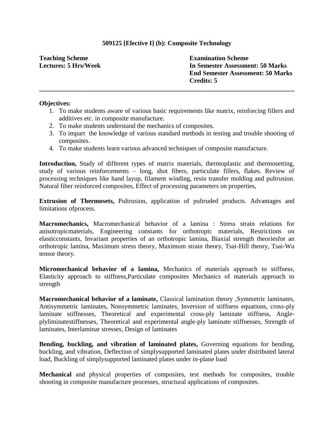# **509125 [Elective I] (b): Composite Technology**

**\_\_\_\_\_\_\_\_\_\_\_\_\_\_\_\_\_\_\_\_\_\_\_\_\_\_\_\_\_\_\_\_\_\_\_\_\_\_\_\_\_\_\_\_\_\_\_\_\_\_\_\_\_\_\_\_\_\_\_\_\_\_\_\_\_\_\_\_\_\_\_\_\_\_\_\_\_\_**

**Teaching Scheme Lectures: 5 Hrs/Week** **Examination Scheme In Semester Assessment: 50 Marks End Semester Assessment: 50 Marks Credits: 5**

#### **Objectives:**

- 1. To make students aware of various basic requirements like matrix, reinforcing fillers and additives etc. in composite manufacture.
- 2. To make students understand the mechanics of composites.
- 3. To impart the knowledge of various standard methods in testing and trouble shooting of composites.
- 4. To make students learn various advanced techniques of composite manufacture.

**Introduction,** Study of different types of matrix materials, thermoplastic and thermosetting, study of various reinforcements – long, shot fibers, particulate fillers, flakes. Review of processing techniques like hand layup, filament winding, resin transfer molding and pultrusion. Natural fiber reinforced composites, Effect of processing parameters on properties,

**Extrusion of Thermosets,** Pultrusion, application of pultruded products. Advantages and limitations ofprocess.

**Macromechanics,** Macromechanical behavior of a lamina : Stress strain relations for anisotropicmaterials, Engineering constants for orthotropic materials, Restrictions on elasticconstants, Invariant properties of an orthotropic lamina, Biaxial strength theoriesfor an orthotropic lamina, Maximum stress theory, Maximum strain theory, Tsai-Hill theory, Tsai-Wu tensor theory.

**Micromechanical behavior of a lamina,** Mechanics of materials approach to stiffness, Elasticity approach to stiffness,Particulate composites Mechanics of materials approach to strength

**Macromechanical behavior of a laminate,** Classical lamination theory ,Symmetric laminates, Antisymmetric laminates, Nonsymmetric laminates, Inversion of stiffness equations, cross-ply laminate stiffnesses, Theoretical and experimental cross-ply laminate stiffness, Angleplyliminatestiffnesses, Theoretical and experimental angle-ply laminate stiffnesses, Strength of laminates, Interlaminar stresses, Design of laminates

**Bending, buckling, and vibration of laminated plates,** Governing equations for bending, buckling, and vibration, Deflection of simplysupported laminated plates under distributed lateral load, Buckling of simplysupported laminated plates under in-plane load

**Mechanical** and physical properties of composites, test methods for composites, trouble shooting in composite manufacture processes, structural applications of composites.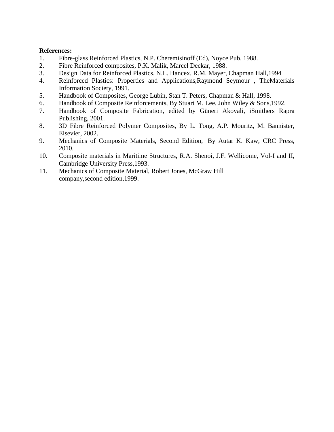- 1. Fibre-glass Reinforced Plastics, N.P. Cheremisinoff (Ed), Noyce Pub. 1988.
- 2. Fibre Reinforced composites, P.K. Malik, Marcel Deckar, 1988.
- 3. Design Data for Reinforced Plastics, N.L. Hancex, R.M. Mayer, Chapman Hall,1994
- 4. Reinforced Plastics: Properties and Applications,Raymond Seymour , TheMaterials Information Society, 1991.
- 5. Handbook of Composites, [George Lubin,](http://www.google.co.in/search?tbo=p&tbm=bks&q=inauthor:%22George+Lubin%22) [Stan T. Peters,](http://www.google.co.in/search?tbo=p&tbm=bks&q=inauthor:%22Stan+T.+Peters%22) Chapman & Hall, 1998.
- 6. Handbook of Composite Reinforcements, By Stuart M. Lee, John Wiley & Sons,1992.
- 7. Handbook of Composite Fabrication, edited by Güneri Akovali, iSmithers Rapra Publishing, 2001.
- 8. 3D Fibre Reinforced Polymer Composites, By L. Tong, A.P. Mouritz, M. Bannister, Elsevier, 2002.
- 9. Mechanics of Composite Materials, Second Edition, By Autar K. Kaw, CRC Press, 2010.
- 10. Composite materials in Maritime Structures, R.A. Shenoi, J.F. Wellicome, Vol-I and II, Cambridge University Press,1993.
- 11. Mechanics of Composite Material, Robert Jones, McGraw Hill company,second edition,1999.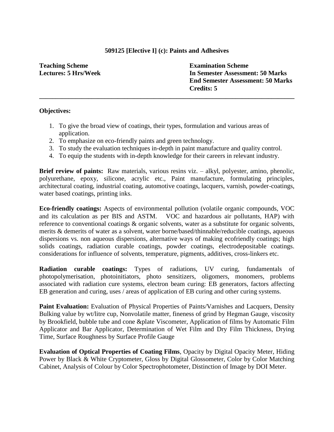### **509125 [Elective I] (c): Paints and Adhesives**

**\_\_\_\_\_\_\_\_\_\_\_\_\_\_\_\_\_\_\_\_\_\_\_\_\_\_\_\_\_\_\_\_\_\_\_\_\_\_\_\_\_\_\_\_\_\_\_\_\_\_\_\_\_\_\_\_\_\_\_\_\_\_\_\_\_\_\_\_\_\_\_\_\_\_\_\_\_\_**

**Teaching Scheme Lectures: 5 Hrs/Week** **Examination Scheme In Semester Assessment: 50 Marks End Semester Assessment: 50 Marks Credits: 5**

# **Objectives:**

- 1. To give the broad view of coatings, their types, formulation and various areas of application.
- 2. To emphasize on eco-friendly paints and green technology.
- 3. To study the evaluation techniques in-depth in paint manufacture and quality control.
- 4. To equip the students with in-depth knowledge for their careers in relevant industry.

**Brief review of paints:** Raw materials, various resins viz. – alkyl, polyester, amino, phenolic, polyurethane, epoxy, silicone, acrylic etc., Paint manufacture, formulating principles, architectural coating, industrial coating, automotive coatings, lacquers, varnish, powder-coatings, water based coatings, printing inks.

**Eco-friendly coatings:** Aspects of environmental pollution (volatile organic compounds, VOC and its calculation as per BIS and ASTM. VOC and hazardous air pollutants, HAP) with reference to conventional coatings & organic solvents, water as a substitute for organic solvents, merits & demerits of water as a solvent, water borne/based/thinnable/reducible coatings, aqueous dispersions vs. non aqueous dispersions, alternative ways of making ecofriendly coatings; high solids coatings, radiation curable coatings, powder coatings, electrodepositable coatings. considerations for influence of solvents, temperature, pigments, additives, cross-linkers etc.

**Radiation curable coatings:** Types of radiations, UV curing, fundamentals of photopolymerisation, photoinitiators, photo sensitizers, oligomers, monomers, problems associated with radiation cure systems, electron beam curing: EB generators, factors affecting EB generation and curing, uses / areas of application of EB curing and other curing systems.

**Paint Evaluation:** Evaluation of Physical Properties of Paints/Varnishes and Lacquers, Density Bulking value by wt/litre cup, Nonvolatile matter, fineness of grind by Hegman Gauge, viscosity by Brookfield, bubble tube and cone &plate Viscometer, Application of films by Automatic Film Applicator and Bar Applicator, Determination of Wet Film and Dry Film Thickness, Drying Time, Surface Roughness by Surface Profile Gauge

**Evaluation of Optical Properties of Coating Films**, Opacity by Digital Opacity Meter, Hiding Power by Black & White Cryptometer, Gloss by Digital Glossometer, Color by Color Matching Cabinet, Analysis of Colour by Color Spectrophotometer, Distinction of Image by DOI Meter.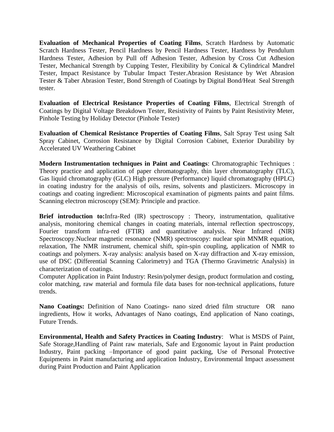**Evaluation of Mechanical Properties of Coating Films**, Scratch Hardness by Automatic Scratch Hardness Tester, Pencil Hardness by Pencil Hardness Tester, Hardness by Pendulum Hardness Tester, Adhesion by Pull off Adhesion Tester, Adhesion by Cross Cut Adhesion Tester, Mechanical Strength by Cupping Tester, Flexibility by Conical & Cylindrical Mandrel Tester, Impact Resistance by Tubular Impact Tester.Abrasion Resistance by Wet Abrasion Tester & Taber Abrasion Tester, Bond Strength of Coatings by Digital Bond/Heat Seal Strength tester.

**Evaluation of Electrical Resistance Properties of Coating Films**, Electrical Strength of Coatings by Digital Voltage Breakdown Tester, Resistivity of Paints by Paint Resistivity Meter, Pinhole Testing by Holiday Detector (Pinhole Tester)

**Evaluation of Chemical Resistance Properties of Coating Films**, Salt Spray Test using Salt Spray Cabinet, Corrosion Resistance by Digital Corrosion Cabinet, Exterior Durability by Accelerated UV Weathering Cabinet

**Modern Instrumentation techniques in Paint and Coatings**: Chromatographic Techniques : Theory practice and application of paper chromatography, thin layer chromatography (TLC), Gas liquid chromatography (GLC) High pressure (Performance) liquid chromatography (HPLC) in coating industry for the analysis of oils, resins, solvents and plasticizers. Microscopy in coatings and coating ingredient: Microscopical examination of pigments paints and paint films. Scanning electron microscopy (SEM): Principle and practice.

**Brief introduction to:**Infra-Red (IR) spectroscopy : Theory, instrumentation, qualitative analysis, monitoring chemical changes in coating materials, internal reflection spectroscopy, Fourier transform infra-red (FTIR) and quantitative analysis. Near Infrared (NIR) Spectroscopy.Nuclear magnetic resonance (NMR) spectroscopy: nuclear spin MNMR equation, relaxation, The NMR instrument, chemical shift, spin-spin coupling, application of NMR to coatings and polymers. X-ray analysis: analysis based on X-ray diffraction and X-ray emission, use of DSC (Differential Scanning Calorimetry) and TGA (Thermo Gravimetric Analysis) in characterization of coatings.

Computer Application in Paint Industry: Resin/polymer design, product formulation and costing, color matching, raw material and formula file data bases for non-technical applications, future trends.

**Nano Coatings:** Definition of Nano Coatings- nano sized dried film structure OR nano ingredients, How it works, Advantages of Nano coatings, End application of Nano coatings, Future Trends.

**Environmental, Health and Safety Practices in Coating Industry**: What is MSDS of Paint, Safe Storage,Handling of Paint raw materials, Safe and Ergonomic layout in Paint production Industry, Paint packing –Importance of good paint packing, Use of Personal Protective Equipments in Paint manufacturing and application Industry, Environmental Impact assessment during Paint Production and Paint Application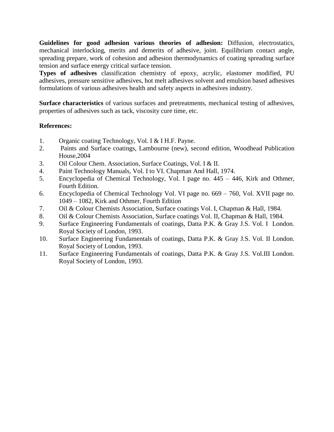**Guidelines for good adhesion various theories of adhesion:** Diffusion, electrostatics, mechanical interlocking, merits and demerits of adhesive, joint. Equilibrium contact angle, spreading prepare, work of cohesion and adhesion thermodynamics of coating spreading surface tension and surface energy critical surface tension.

**Types of adhesives** classification chemistry of epoxy, acrylic, elastomer modified, PU adhesives, pressure sensitive adhesives, hot melt adhesives solvent and emulsion based adhesives formulations of various adhesives health and safety aspects in adhesives industry.

**Surface characteristics** of various surfaces and pretreatments, mechanical testing of adhesives, properties of adhesives such as tack, viscosity cure time, etc.

- 1. Organic coating Technology, Vol. I & I H.F. Payne.
- 2. Paints and Surface coatings, Lambourne (new), second edition, Woodhead Publication House,2004
- 3. Oil Colour Chem. Association, Surface Coatings, Vol. I & II.
- 4. Paint Technology Manuals, Vol. I to VI. Chapman And Hall, 1974.
- 5. Encyclopedia of Chemical Technology, Vol. I page no. 445 446, Kirk and Othmer, Fourth Edition.
- 6. Encyclopedia of Chemical Technology Vol. VI page no. 669 760, Vol. XVII page no. 1049 – 1082, Kirk and Othmer, Fourth Edition
- 7. Oil & Colour Chemists Association, Surface coatings Vol. I, Chapman & Hall, 1984.
- 8. Oil & Colour Chemists Association, Surface coatings Vol. II, Chapman & Hall, 1984.
- 9. Surface Engineering Fundamentals of coatings, Datta P.K. & Gray J.S. Vol. I London. Royal Society of London, 1993.
- 10. Surface Engineering Fundamentals of coatings, Datta P.K. & Gray J.S. Vol. II London. Royal Society of London, 1993.
- 11. Surface Engineering Fundamentals of coatings, Datta P.K. & Gray J.S. Vol.III London. Royal Society of London, 1993.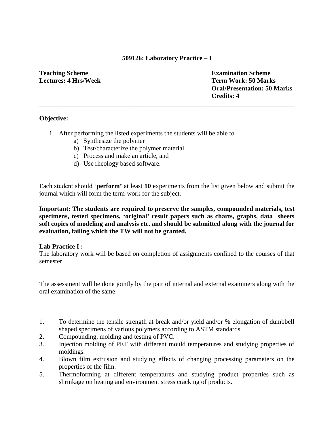### **509126: Laboratory Practice – I**

**\_\_\_\_\_\_\_\_\_\_\_\_\_\_\_\_\_\_\_\_\_\_\_\_\_\_\_\_\_\_\_\_\_\_\_\_\_\_\_\_\_\_\_\_\_\_\_\_\_\_\_\_\_\_\_\_\_\_\_\_\_\_\_\_\_\_\_\_\_\_\_\_\_\_\_\_\_\_**

**Teaching Scheme Lectures: 4 Hrs/Week** **Examination Scheme Term Work: 50 Marks Oral/Presentation: 50 Marks Credits: 4**

# **Objective:**

- 1. After performing the listed experiments the students will be able to
	- a) Synthesize the polymer
	- b) Test/characterize the polymer material
	- c) Process and make an article, and
	- d) Use rheology based software.

Each student should "**perform"** at least **10** experiments from the list given below and submit the journal which will form the term-work for the subject.

**Important: The students are required to preserve the samples, compounded materials, test specimens, tested specimens, "original" result papers such as charts, graphs, data sheets soft copies of modeling and analysis etc. and should be submitted along with the journal for evaluation, failing which the TW will not be granted.**

### **Lab Practice I :**

The laboratory work will be based on completion of assignments confined to the courses of that semester.

The assessment will be done jointly by the pair of internal and external examiners along with the oral examination of the same.

- 1. To determine the tensile strength at break and/or yield and/or % elongation of dumbbell shaped specimens of various polymers according to ASTM standards.
- 2. Compounding, molding and testing of PVC.
- 3. Injection molding of PET with different mould temperatures and studying properties of moldings.
- 4. Blown film extrusion and studying effects of changing processing parameters on the properties of the film.
- 5. Thermoforming at different temperatures and studying product properties such as shrinkage on heating and environment stress cracking of products.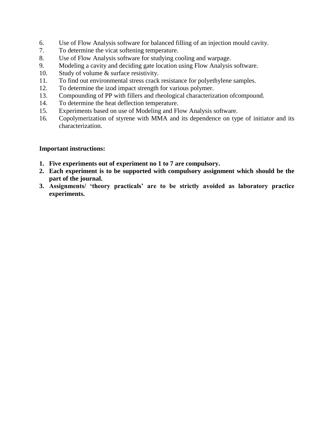- 6. Use of Flow Analysis software for balanced filling of an injection mould cavity.
- 7. To determine the vicat softening temperature.
- 8. Use of Flow Analysis software for studying cooling and warpage.
- 9. Modeling a cavity and deciding gate location using Flow Analysis software.
- 10. Study of volume & surface resistivity.
- 11. To find out environmental stress crack resistance for polyethylene samples.
- 12. To determine the izod impact strength for various polymer.
- 13. Compounding of PP with fillers and rheological characterization ofcompound.
- 14. To determine the heat deflection temperature.
- 15. Experiments based on use of Modeling and Flow Analysis software.
- 16. Copolymerization of styrene with MMA and its dependence on type of initiator and its characterization.

- **1. Five experiments out of experiment no 1 to 7 are compulsory.**
- **2. Each experiment is to be supported with compulsory assignment which should be the part of the journal.**
- **3. Assignments/ "theory practicals" are to be strictly avoided as laboratory practice experiments.**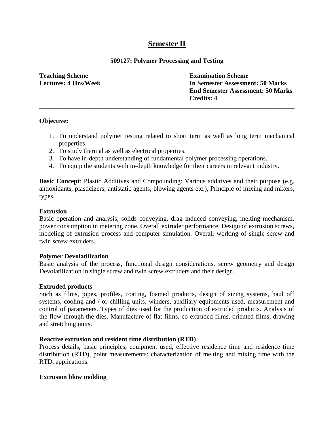# **Semester II**

### **509127: Polymer Processing and Testing**

**\_\_\_\_\_\_\_\_\_\_\_\_\_\_\_\_\_\_\_\_\_\_\_\_\_\_\_\_\_\_\_\_\_\_\_\_\_\_\_\_\_\_\_\_\_\_\_\_\_\_\_\_\_\_\_\_\_\_\_\_\_\_\_\_\_\_\_\_\_\_\_\_\_\_\_\_\_\_**

**Teaching Scheme Lectures: 4 Hrs/Week** **Examination Scheme In Semester Assessment: 50 Marks End Semester Assessment: 50 Marks Credits: 4**

### **Objective:**

- 1. To understand polymer testing related to short term as well as long term mechanical properties.
- 2. To study thermal as well as electrical properties.
- 3. To have in-depth understanding of fundamental polymer processing operations.
- 4. To equip the students with in-depth knowledge for their careers in relevant industry.

**Basic Concept**: Plastic Additives and Compounding: Various additives and their purpose (e.g. antioxidants, plasticizers, antistatic agents, blowing agents etc.), Principle of mixing and mixers, types.

# **Extrusion**

Basic operation and analysis, solids conveying, drag induced conveying, melting mechanism, power consumption in metering zone. Overall extruder performance. Design of extrusion screws, modeling of extrusion process and computer simulation. Overall working of single screw and twin screw extruders.

### **Polymer Devolatilization**

Basic analysis of the process, functional design considerations, screw geometry and design Devolatilization in single screw and twin screw extruders and their design.

### **Extruded products**

Such as films, pipes, profiles, coating, foamed products, design of sizing systems, haul off systems, cooling and / or chilling units, winders, auxiliary equipments used, measurement and control of parameters. Types of dies used for the production of extruded products. Analysis of the flow through the dies. Manufacture of flat films, co extruded films, oriented films, drawing and stretching units.

### **Reactive extrusion and resident time distribution (RTD)**

Process details, basic principles, equipment used, effective residence time and residence time distribution (RTD), point measurements: characterization of melting and mixing time with the RTD, applications.

### **Extrusion blow molding**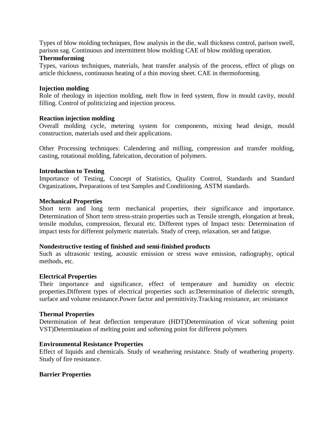Types of blow molding techniques, flow analysis in the die, wall thickness control, parison swell, parison sag. Continuous and intermittent blow molding CAE of blow molding operation.

#### **Thermoforming**

Types, various techniques, materials, heat transfer analysis of the process, effect of plugs on article thickness, continuous heating of a thin moving sheet. CAE in thermoforming.

#### **Injection molding**

Role of rheology in injection molding, melt flow in feed system, flow in mould cavity, mould filling. Control of politicizing and injection process.

#### **Reaction injection molding**

Overall molding cycle, metering system for components, mixing head design, mould construction, materials used and their applications.

Other Processing techniques: Calendering and milling, compression and transfer molding, casting, rotational molding, fabrication, decoration of polymers.

#### **Introduction to Testing**

Importance of Testing, Concept of Statistics, Quality Control, Standards and Standard Organizations, Preparations of test Samples and Conditioning, ASTM standards.

#### **Mechanical Properties**

Short term and long term mechanical properties, their significance and importance. Determination of Short term stress-strain properties such as Tensile strength, elongation at break, tensile modulus, compression, flexural etc. Different types of Impact tests: Determination of impact tests for different polymeric materials. Study of creep, relaxation, set and fatigue.

#### **Nondestructive testing of finished and semi-finished products**

Such as ultrasonic testing, acoustic emission or stress wave emission, radiography, optical methods, etc.

#### **Electrical Properties**

Their importance and significance, effect of temperature and humidity on electric properties.Different types of electrical properties such as:Determination of dielectric strength, surface and volume resistance.Power factor and permittivity.Tracking resistance, arc resistance

#### **Thermal Properties**

Determination of heat deflection temperature (HDT)Determination of vicat softening point VST)Determination of melting point and softening point for different polymers

#### **Environmental Resistance Properties**

Effect of liquids and chemicals. Study of weathering resistance. Study of weathering property. Study of fire resistance.

#### **Barrier Properties**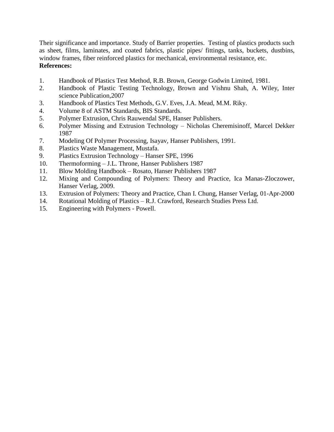Their significance and importance. Study of Barrier properties. Testing of plastics products such as sheet, films, laminates, and coated fabrics, plastic pipes/ fittings, tanks, buckets, dustbins, window frames, fiber reinforced plastics for mechanical, environmental resistance, etc. **References:**

- 1. Handbook of Plastics Test Method, R.B. Brown, George Godwin Limited, 1981.
- 2. Handbook of Plastic Testing Technology, Brown and Vishnu Shah, A. Wiley, Inter science Publication,2007
- 3. Handbook of Plastics Test Methods, G.V. Eves, J.A. Mead, M.M. Riky.
- 4. Volume 8 of ASTM Standards, BIS Standards.
- 5. Polymer Extrusion, Chris Rauwendal SPE, Hanser Publishers.
- 6. Polymer Missing and Extrusion Technology Nicholas Cheremisinoff, Marcel Dekker 1987
- 7. Modeling Of Polymer Processing, Isayav, Hanser Publishers, 1991.
- 8. Plastics Waste Management, Mustafa.
- 9. Plastics Extrusion Technology Hanser SPE, 1996
- 10. Thermoforming J.L. Throne, Hanser Publishers 1987
- 11. Blow Molding Handbook Rosato, Hanser Publishers 1987
- 12. Mixing and Compounding of Polymers: Theory and Practice, [Ica Manas-Zloczower,](http://www.google.co.in/search?tbo=p&tbm=bks&q=inauthor:%22Ica+Manas-Zloczower%22) Hanser Verlag, 2009.
- 13. Extrusion of Polymers: Theory and Practice, [Chan I. Chung,](http://www.google.co.in/search?tbo=p&tbm=bks&q=inauthor:%22Chan+I.+Chung%22) Hanser Verlag, 01-Apr-2000
- 14. Rotational Molding of Plastics R.J. Crawford, Research Studies Press Ltd.
- 15. Engineering with Polymers Powell.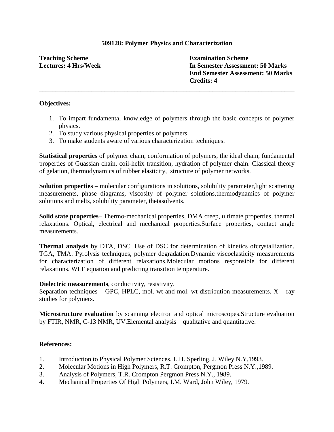# **509128: Polymer Physics and Characterization**

**\_\_\_\_\_\_\_\_\_\_\_\_\_\_\_\_\_\_\_\_\_\_\_\_\_\_\_\_\_\_\_\_\_\_\_\_\_\_\_\_\_\_\_\_\_\_\_\_\_\_\_\_\_\_\_\_\_\_\_\_\_\_\_\_\_\_\_\_\_\_\_\_\_\_\_\_\_\_**

**Teaching Scheme Lectures: 4 Hrs/Week** **Examination Scheme In Semester Assessment: 50 Marks End Semester Assessment: 50 Marks Credits: 4**

### **Objectives:**

- 1. To impart fundamental knowledge of polymers through the basic concepts of polymer physics.
- 2. To study various physical properties of polymers.
- 3. To make students aware of various characterization techniques.

**Statistical properties** of polymer chain, conformation of polymers, the ideal chain, fundamental properties of Guassian chain, coil-helix transition, hydration of polymer chain. Classical theory of gelation, thermodynamics of rubber elasticity, structure of polymer networks.

**Solution properties** – molecular configurations in solutions, solubility parameter,light scattering measurements, phase diagrams, viscosity of polymer solutions,thermodynamics of polymer solutions and melts, solubility parameter, thetasolvents.

**Solid state properties**– Thermo-mechanical properties, DMA creep, ultimate properties, thermal relaxations. Optical, electrical and mechanical properties.Surface properties, contact angle measurements.

**Thermal analysis** by DTA, DSC. Use of DSC for determination of kinetics ofcrystallization. TGA, TMA. Pyrolysis techniques, polymer degradation.Dynamic viscoelasticity measurements for characterization of different relaxations.Molecular motions responsible for different relaxations. WLF equation and predicting transition temperature.

#### **Dielectric measurements**, conductivity, resistivity.

Separation techniques – GPC, HPLC, mol. wt and mol. wt distribution measurements.  $X - ray$ studies for polymers.

**Microstructure evaluation** by scanning electron and optical microscopes.Structure evaluation by FTIR, NMR, C-13 NMR, UV.Elemental analysis – qualitative and quantitative.

- 1. Introduction to Physical Polymer Sciences, L.H. Sperling, J. Wiley N.Y,1993.
- 2. Molecular Motions in High Polymers, R.T. Crompton, Pergmon Press N.Y.,1989.
- 3. Analysis of Polymers, T.R. Crompton Pergmon Press N.Y., 1989.
- 4. Mechanical Properties Of High Polymers, I.M. Ward, John Wiley, 1979.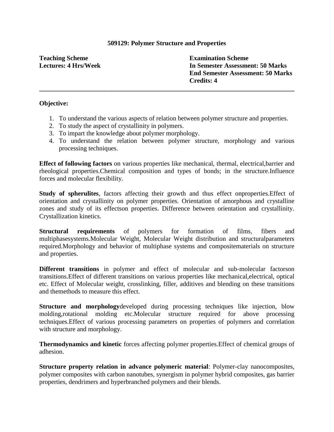#### **509129: Polymer Structure and Properties**

**Teaching Scheme Lectures: 4 Hrs/Week** **Examination Scheme In Semester Assessment: 50 Marks End Semester Assessment: 50 Marks Credits: 4**

#### **Objective:**

1. To understand the various aspects of relation between polymer structure and properties.

**\_\_\_\_\_\_\_\_\_\_\_\_\_\_\_\_\_\_\_\_\_\_\_\_\_\_\_\_\_\_\_\_\_\_\_\_\_\_\_\_\_\_\_\_\_\_\_\_\_\_\_\_\_\_\_\_\_\_\_\_\_\_\_\_\_\_\_\_\_\_\_\_\_\_\_\_\_\_**

- 2. To study the aspect of crystallinity in polymers.
- 3. To impart the knowledge about polymer morphology.
- 4. To understand the relation between polymer structure, morphology and various processing techniques.

**Effect of following factors** on various properties like mechanical, thermal, electrical,barrier and rheological properties.Chemical composition and types of bonds; in the structure.Influence forces and molecular flexibility.

**Study of spherulites**, factors affecting their growth and thus effect onproperties.Effect of orientation and crystallinity on polymer properties. Orientation of amorphous and crystalline zones and study of its effectson properties. Difference between orientation and crystallinity. Crystallization kinetics.

**Structural requirements** of polymers for formation of films, fibers and multiphasesystems.Molecular Weight, Molecular Weight distribution and structuralparameters required.Morphology and behavior of multiphase systems and compositematerials on structure and properties.

**Different transitions** in polymer and effect of molecular and sub-molecular factorson transitions.Effect of different transitions on various properties like mechanical,electrical, optical etc. Effect of Molecular weight, crosslinking, filler, additives and blending on these transitions and themethods to measure this effect.

**Structure and morphology**developed during processing techniques like injection, blow molding,rotational molding etc.Molecular structure required for above processing techniques.Effect of various processing parameters on properties of polymers and correlation with structure and morphology.

**Thermodynamics and kinetic** forces affecting polymer properties.Effect of chemical groups of adhesion.

**Structure property relation in advance polymeric material**: Polymer-clay nanocomposites, polymer composites with carbon nanotubes, synergism in polymer hybrid composites, gas barrier properties, dendrimers and hyperbranched polymers and their blends.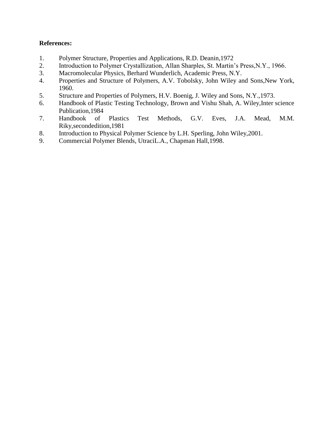- 1. Polymer Structure, Properties and Applications, R.D. Deanin,1972
- 2. Introduction to Polymer Crystallization, Allan Sharples, St. Martin"s Press,N.Y., 1966.
- 3. Macromolecular Physics, Berhard Wunderlich, Academic Press, N.Y.
- 4. Properties and Structure of Polymers, A.V. Tobolsky, John Wiley and Sons,New York, 1960.
- 5. Structure and Properties of Polymers, H.V. Boenig, J. Wiley and Sons, N.Y.,1973.
- 6. Handbook of Plastic Testing Technology, Brown and Vishu Shah, A. Wiley,Inter science Publication,1984
- 7. Handbook of Plastics Test Methods, G.V. Eves, J.A. Mead, M.M. Riky,secondedition,1981
- 8. Introduction to Physical Polymer Science by L.H. Sperling, John Wiley,2001.
- 9. Commercial Polymer Blends, UtraciL.A., Chapman Hall,1998.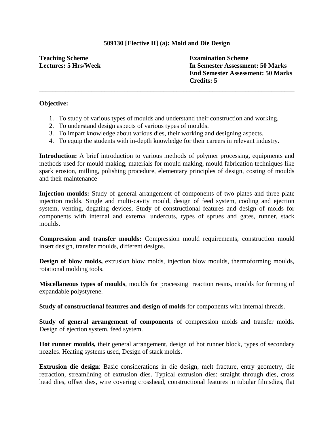# **509130 [Elective II] (a): Mold and Die Design**

**Teaching Scheme Lectures: 5 Hrs/Week** **Examination Scheme In Semester Assessment: 50 Marks End Semester Assessment: 50 Marks Credits: 5**

#### **Objective:**

1. To study of various types of moulds and understand their construction and working.

**\_\_\_\_\_\_\_\_\_\_\_\_\_\_\_\_\_\_\_\_\_\_\_\_\_\_\_\_\_\_\_\_\_\_\_\_\_\_\_\_\_\_\_\_\_\_\_\_\_\_\_\_\_\_\_\_\_\_\_\_\_\_\_\_\_\_\_\_\_\_\_\_\_\_\_\_\_\_**

- 2. To understand design aspects of various types of moulds.
- 3. To impart knowledge about various dies, their working and designing aspects.
- 4. To equip the students with in-depth knowledge for their careers in relevant industry.

**Introduction:** A brief introduction to various methods of polymer processing, equipments and methods used for mould making, materials for mould making, mould fabrication techniques like spark erosion, milling, polishing procedure, elementary principles of design, costing of moulds and their maintenance

**Injection moulds:** Study of general arrangement of components of two plates and three plate injection molds. Single and multi-cavity mould, design of feed system, cooling and ejection system, venting, degating devices, Study of constructional features and design of molds for components with internal and external undercuts, types of sprues and gates, runner, stack moulds.

**Compression and transfer moulds:** Compression mould requirements, construction mould insert design, transfer moulds, different designs.

**Design of blow molds,** extrusion blow molds, injection blow moulds, thermoforming moulds, rotational molding tools.

**Miscellaneous types of moulds**, moulds for processing reaction resins, moulds for forming of expandable polystyrene.

**Study of constructional features and design of molds** for components with internal threads.

**Study of general arrangement of components** of compression molds and transfer molds. Design of ejection system, feed system.

**Hot runner moulds,** their general arrangement, design of hot runner block, types of secondary nozzles. Heating systems used, Design of stack molds.

**Extrusion die design**: Basic considerations in die design, melt fracture, entry geometry, die retraction, streamlining of extrusion dies. Typical extrusion dies: straight through dies, cross head dies, offset dies, wire covering crosshead, constructional features in tubular filmsdies, flat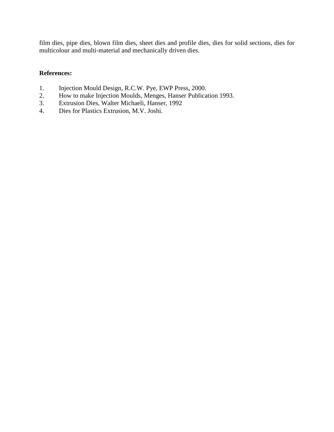film dies, pipe dies, blown film dies, sheet dies and profile dies, dies for solid sections, dies for multicolour and multi-material and mechanically driven dies.

- 1. Injection Mould Design, R.C.W. Pye, EWP Press, 2000.
- 2. How to make Injection Moulds, Menges, Hanser Publication 1993.
- 3. Extrusion Dies, Walter Michaeli, Hanser, 1992
- 4. Dies for Plastics Extrusion, M.V. Joshi.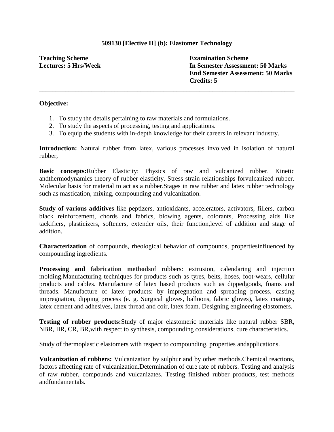# **509130 [Elective II] (b): Elastomer Technology**

**\_\_\_\_\_\_\_\_\_\_\_\_\_\_\_\_\_\_\_\_\_\_\_\_\_\_\_\_\_\_\_\_\_\_\_\_\_\_\_\_\_\_\_\_\_\_\_\_\_\_\_\_\_\_\_\_\_\_\_\_\_\_\_\_\_\_\_\_\_\_\_\_\_\_\_\_\_\_**

**Teaching Scheme Lectures: 5 Hrs/Week** **Examination Scheme In Semester Assessment: 50 Marks End Semester Assessment: 50 Marks Credits: 5**

#### **Objective:**

- 1. To study the details pertaining to raw materials and formulations.
- 2. To study the aspects of processing, testing and applications.
- 3. To equip the students with in-depth knowledge for their careers in relevant industry.

**Introduction:** Natural rubber from latex, various processes involved in isolation of natural rubber,

**Basic concepts:**Rubber Elasticity: Physics of raw and vulcanized rubber. Kinetic andthermodynamics theory of rubber elasticity. Stress strain relationships forvulcanized rubber. Molecular basis for material to act as a rubber.Stages in raw rubber and latex rubber technology such as mastication, mixing, compounding and vulcanization.

**Study of various additives** like peptizers, antioxidants, accelerators, activators, fillers, carbon black reinforcement, chords and fabrics, blowing agents, colorants, Processing aids like tackifiers, plasticizers, softeners, extender oils, their function,level of addition and stage of addition.

**Characterization** of compounds, rheological behavior of compounds, propertiesinfluenced by compounding ingredients.

**Processing and fabrication methods**of rubbers: extrusion, calendaring and injection molding.Manufacturing techniques for products such as tyres, belts, hoses, foot-wears, cellular products and cables. Manufacture of latex based products such as dippedgoods, foams and threads. Manufacture of latex products: by impregnation and spreading process, casting impregnation, dipping process (e. g. Surgical gloves, balloons, fabric gloves), latex coatings, latex cement and adhesives, latex thread and coir, latex foam. Designing engineering elastomers.

**Testing of rubber products:**Study of major elastomeric materials like natural rubber SBR, NBR, IIR, CR, BR,with respect to synthesis, compounding considerations, cure characteristics.

Study of thermoplastic elastomers with respect to compounding, properties andapplications.

**Vulcanization of rubbers:** Vulcanization by sulphur and by other methods.Chemical reactions, factors affecting rate of vulcanization.Determination of cure rate of rubbers. Testing and analysis of raw rubber, compounds and vulcanizates. Testing finished rubber products, test methods andfundamentals.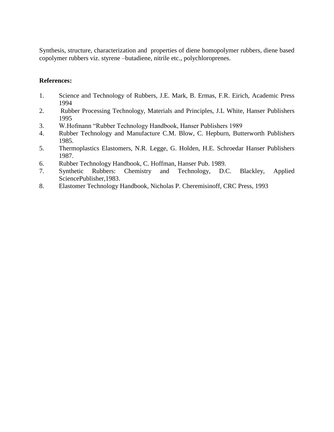Synthesis, structure, characterization and properties of diene homopolymer rubbers, diene based copolymer rubbers viz. styrene –butadiene, nitrile etc., polychloroprenes.

- 1. Science and Technology of Rubbers, J.E. Mark, B. Ermas, F.R. Eirich, Academic Press 1994
- 2. Rubber Processing Technology, Materials and Principles, J.L White, Hanser Publishers 1995
- 3. W.Hofmann "Rubber Technology Handbook, Hanser Publishers 1989
- 4. Rubber Technology and Manufacture C.M. Blow, C. Hepburn, Butterworth Publishers 1985.
- 5. Thermoplastics Elastomers, N.R. Legge, G. Holden, H.E. Schroedar Hanser Publishers 1987.
- 6. Rubber Technology Handbook, C. Hoffman, Hanser Pub. 1989.
- 7. Synthetic Rubbers: Chemistry and Technology, D.C. Blackley, Applied SciencePublisher,1983.
- 8. Elastomer Technology Handbook, [Nicholas P. Cheremisinoff,](http://www.google.co.in/search?tbo=p&tbm=bks&q=inauthor:%22Nicholas+P.+Cheremisinoff%22) CRC Press, 1993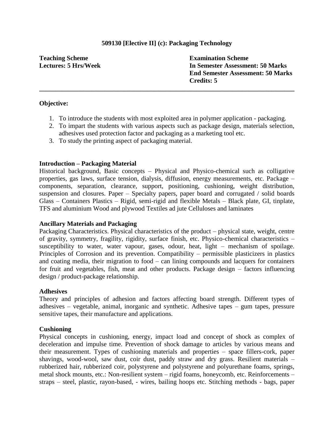# **509130 [Elective II] (c): Packaging Technology**

**Teaching Scheme Lectures: 5 Hrs/Week** **Examination Scheme In Semester Assessment: 50 Marks End Semester Assessment: 50 Marks Credits: 5**

### **Objective:**

1. To introduce the students with most exploited area in polymer application - packaging.

**\_\_\_\_\_\_\_\_\_\_\_\_\_\_\_\_\_\_\_\_\_\_\_\_\_\_\_\_\_\_\_\_\_\_\_\_\_\_\_\_\_\_\_\_\_\_\_\_\_\_\_\_\_\_\_\_\_\_\_\_\_\_\_\_\_\_\_\_\_\_\_\_\_\_\_\_\_\_**

- 2. To impart the students with various aspects such as package design, materials selection, adhesives used protection factor and packaging as a marketing tool etc.
- 3. To study the printing aspect of packaging material.

### **Introduction – Packaging Material**

Historical background, Basic concepts – Physical and Physico-chemical such as colligative properties, gas laws, surface tension, dialysis, diffusion, energy measurements, etc. Package – components, separation, clearance, support, positioning, cushioning, weight distribution, suspension and closures. Paper – Specialty papers, paper board and corrugated / solid boards Glass – Containers Plastics – Rigid, semi-rigid and flexible Metals – Black plate, GI, tinplate, TFS and aluminium Wood and plywood Textiles ad jute Celluloses and laminates

#### **Ancillary Materials and Packaging**

Packaging Characteristics. Physical characteristics of the product – physical state, weight, centre of gravity, symmetry, fragility, rigidity, surface finish, etc. Physico-chemical characteristics – susceptibility to water, water vapour, gases, odour, heat, light – mechanism of spoilage. Principles of Corrosion and its prevention. Compatibility – permissible plasticizers in plastics and coating media, their migration to food – can lining compounds and lacquers for containers for fruit and vegetables, fish, meat and other products. Package design – factors influencing design / product-package relationship.

#### **Adhesives**

Theory and principles of adhesion and factors affecting board strength. Different types of adhesives – vegetable, animal, inorganic and synthetic. Adhesive tapes – gum tapes, pressure sensitive tapes, their manufacture and applications.

#### **Cushioning**

Physical concepts in cushioning, energy, impact load and concept of shock as complex of deceleration and impulse time. Prevention of shock damage to articles by various means and their measurement. Types of cushioning materials and properties – space fillers-cork, paper shavings, wood-wool, saw dust, coir dust, paddy straw and dry grass. Resilient materials – rubberized hair, rubberized coir, polystyrene and polystyrene and polyurethane foams, springs, metal shock mounts, etc.: Non-resilient system – rigid foams, honeycomb, etc. Reinforcements – straps – steel, plastic, rayon-based, - wires, bailing hoops etc. Stitching methods - bags, paper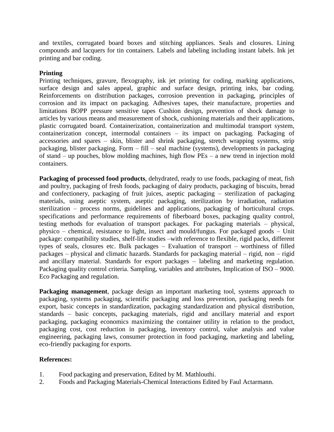and textiles, corrugated board boxes and stitching appliances. Seals and closures. Lining compounds and lacquers for tin containers. Labels and labeling including instant labels. Ink jet printing and bar coding.

# **Printing**

Printing techniques, gravure, flexography, ink jet printing for coding, marking applications, surface design and sales appeal, graphic and surface design, printing inks, bar coding. Reinforcements on distribution packages, corrosion prevention in packaging, principles of corrosion and its impact on packaging. Adhesives tapes, their manufacture, properties and limitations BOPP pressure sensitive tapes Cushion design, prevention of shock damage to articles by various means and measurement of shock, cushioning materials and their applications, plastic corrugated board. Containerization, containerization and multimodal transport system, containerization concept, intermodal containers – its impact on packaging. Packaging of accessories and spares – skin, blister and shrink packaging, stretch wrapping systems, strip packaging, blister packaging. Form – fill – seal machine (systems), developments in packaging of stand – up pouches, blow molding machines, high flow PEs – a new trend in injection mold containers.

**Packaging of processed food products**, dehydrated, ready to use foods, packaging of meat, fish and poultry, packaging of fresh foods, packaging of dairy products, packaging of biscuits, bread and confectionery, packaging of fruit juices, aseptic packaging – sterilization of packaging materials, using aseptic system, aseptic packaging, sterilization by irradiation, radiation sterilization – process norms, guidelines and applications, packaging of horticultural crops. specifications and performance requirements of fiberboard boxes, packaging quality control, testing methods for evaluation of transport packages. For packaging materials – physical, physico – chemical, resistance to light, insect and mould/fungus. For packaged goods – Unit package: compatibility studies, shelf-life studies –with reference to flexible, rigid packs, different types of seals, closures etc. Bulk packages – Evaluation of transport – worthiness of filled packages – physical and climatic hazards. Standards for packaging material – rigid, non – rigid and ancillary material. Standards for export packages – labeling and marketing regulation. Packaging quality control criteria. Sampling, variables and attributes, Implication of ISO – 9000. Eco Packaging and regulation.

**Packaging management**, package design an important marketing tool, systems approach to packaging, systems packaging, scientific packaging and loss prevention, packaging needs for export, basic concepts in standardization, packaging standardization and physical distribution, standards – basic concepts, packaging materials, rigid and ancillary material and export packaging, packaging economics maximizing the container utility in relation to the product, packaging cost, cost reduction in packaging, inventory control, value analysis and value engineering, packaging laws, consumer protection in food packaging, marketing and labeling, eco-friendly packaging for exports.

- 1. Food packaging and preservation, Edited by M. Mathlouthi.
- 2. Foods and Packaging Materials-Chemical Interactions Edited by Faul Actarmann.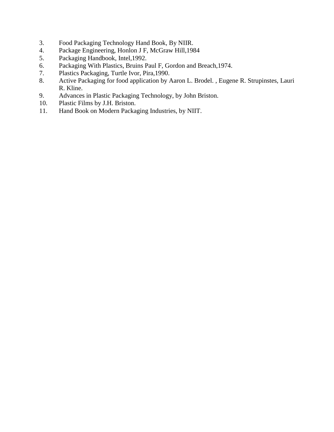- 3. Food Packaging Technology Hand Book, By NIIR.
- 4. Package Engineering, Honlon J F, McGraw Hill,1984
- 5. Packaging Handbook, Intel,1992.
- 6. Packaging With Plastics, Bruins Paul F, Gordon and Breach,1974.
- 7. Plastics Packaging, Turtle Ivor, Pira,1990.
- 8. Active Packaging for food application by Aaron L. Brodel., Eugene R. Strupinstes, Lauri R. Kline.
- 9. Advances in Plastic Packaging Technology, by John Briston.
- 10. Plastic Films by J.H. Briston.
- 11. Hand Book on Modern Packaging Industries, by NIIT.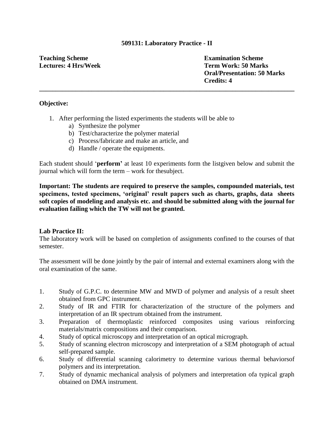### **509131: Laboratory Practice - II**

**\_\_\_\_\_\_\_\_\_\_\_\_\_\_\_\_\_\_\_\_\_\_\_\_\_\_\_\_\_\_\_\_\_\_\_\_\_\_\_\_\_\_\_\_\_\_\_\_\_\_\_\_\_\_\_\_\_\_\_\_\_\_\_\_\_\_\_\_\_\_\_\_\_\_\_\_\_\_**

# **Teaching Scheme Lectures: 4 Hrs/Week**

**Examination Scheme Term Work: 50 Marks Oral/Presentation: 50 Marks Credits: 4**

# **Objective:**

- 1. After performing the listed experiments the students will be able to
	- a) Synthesize the polymer
	- b) Test/characterize the polymer material
	- c) Process/fabricate and make an article, and
	- d) Handle / operate the equipments.

Each student should "**perform"** at least 10 experiments form the listgiven below and submit the journal which will form the term – work for thesubject.

**Important: The students are required to preserve the samples, compounded materials, test specimens, tested specimens, "original" result papers such as charts, graphs, data sheets soft copies of modeling and analysis etc. and should be submitted along with the journal for evaluation failing which the TW will not be granted.**

### **Lab Practice II:**

The laboratory work will be based on completion of assignments confined to the courses of that semester.

The assessment will be done jointly by the pair of internal and external examiners along with the oral examination of the same.

- 1. Study of G.P.C. to determine MW and MWD of polymer and analysis of a result sheet obtained from GPC instrument.
- 2. Study of IR and FTIR for characterization of the structure of the polymers and interpretation of an IR spectrum obtained from the instrument.
- 3. Preparation of thermoplastic reinforced composites using various reinforcing materials/matrix compositions and their comparison.
- 4. Study of optical microscopy and interpretation of an optical micrograph.
- 5. Study of scanning electron microscopy and interpretation of a SEM photograph of actual self-prepared sample.
- 6. Study of differential scanning calorimetry to determine various thermal behaviorsof polymers and its interpretation.
- 7. Study of dynamic mechanical analysis of polymers and interpretation ofa typical graph obtained on DMA instrument.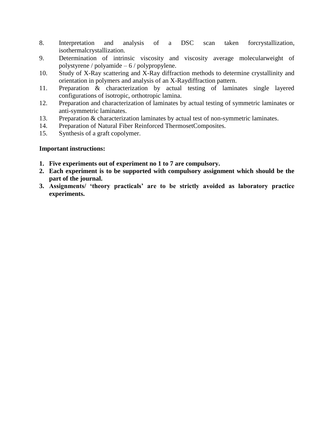- 8. Interpretation and analysis of a DSC scan taken forcrystallization, isothermalcrystallization.
- 9. Determination of intrinsic viscosity and viscosity average molecularweight of polystyrene / polyamide – 6 / polypropylene.
- 10. Study of X-Ray scattering and X-Ray diffraction methods to determine crystallinity and orientation in polymers and analysis of an X-Raydiffraction pattern.
- 11. Preparation & characterization by actual testing of laminates single layered configurations of isotropic, orthotropic lamina.
- 12. Preparation and characterization of laminates by actual testing of symmetric laminates or anti-symmetric laminates.
- 13. Preparation & characterization laminates by actual test of non-symmetric laminates.
- 14. Preparation of Natural Fiber Reinforced ThermosetComposites.
- 15. Synthesis of a graft copolymer.

- **1. Five experiments out of experiment no 1 to 7 are compulsory.**
- **2. Each experiment is to be supported with compulsory assignment which should be the part of the journal.**
- **3. Assignments/ "theory practicals" are to be strictly avoided as laboratory practice experiments.**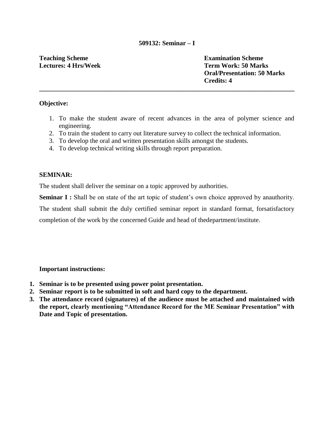### **509132: Seminar – I**

**\_\_\_\_\_\_\_\_\_\_\_\_\_\_\_\_\_\_\_\_\_\_\_\_\_\_\_\_\_\_\_\_\_\_\_\_\_\_\_\_\_\_\_\_\_\_\_\_\_\_\_\_\_\_\_\_\_\_\_\_\_\_\_\_\_\_\_\_\_\_\_\_\_\_\_\_\_\_**

# **Teaching Scheme Lectures: 4 Hrs/Week**

**Examination Scheme Term Work: 50 Marks Oral/Presentation: 50 Marks Credits: 4**

# **Objective:**

- 1. To make the student aware of recent advances in the area of polymer science and engineering.
- 2. To train the student to carry out literature survey to collect the technical information.
- 3. To develop the oral and written presentation skills amongst the students.
- 4. To develop technical writing skills through report preparation.

### **SEMINAR:**

The student shall deliver the seminar on a topic approved by authorities.

**Seminar I :** Shall be on state of the art topic of student's own choice approved by anauthority.

The student shall submit the duly certified seminar report in standard format, forsatisfactory

completion of the work by the concerned Guide and head of thedepartment/institute.

- **1. Seminar is to be presented using power point presentation.**
- **2. Seminar report is to be submitted in soft and hard copy to the department.**
- **3. The attendance record (signatures) of the audience must be attached and maintained with the report, clearly mentioning "Attendance Record for the ME Seminar Presentation" with Date and Topic of presentation.**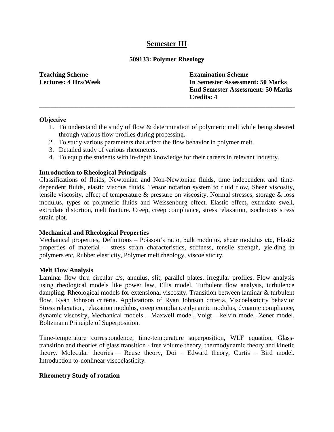# **Semester III**

### **509133: Polymer Rheology**

**\_\_\_\_\_\_\_\_\_\_\_\_\_\_\_\_\_\_\_\_\_\_\_\_\_\_\_\_\_\_\_\_\_\_\_\_\_\_\_\_\_\_\_\_\_\_\_\_\_\_\_\_\_\_\_\_\_\_\_\_\_\_\_\_\_\_\_\_\_\_\_\_\_\_\_\_\_\_**

**Teaching Scheme Lectures: 4 Hrs/Week** **Examination Scheme In Semester Assessment: 50 Marks End Semester Assessment: 50 Marks Credits: 4**

#### **Objective**

- 1. To understand the study of flow & determination of polymeric melt while being sheared through various flow profiles during processing.
- 2. To study various parameters that affect the flow behavior in polymer melt.
- 3. Detailed study of various rheometers.
- 4. To equip the students with in-depth knowledge for their careers in relevant industry.

#### **Introduction to Rheological Principals**

Classifications of fluids, Newtonian and Non-Newtonian fluids, time independent and timedependent fluids, elastic viscous fluids. Tensor notation system to fluid flow, Shear viscosity, tensile viscosity, effect of temperature & pressure on viscosity. Normal stresses, storage & loss modulus, types of polymeric fluids and Weissenburg effect. Elastic effect, extrudate swell, extrudate distortion, melt fracture. Creep, creep compliance, stress relaxation, isochroous stress strain plot.

#### **Mechanical and Rheological Properties**

Mechanical properties, Definitions – Poisson's ratio, bulk modulus, shear modulus etc, Elastic properties of material – stress strain characteristics, stiffness, tensile strength, yielding in polymers etc, Rubber elasticity, Polymer melt rheology, viscoelsticity.

#### **Melt Flow Analysis**

Laminar flow thru circular c/s, annulus, slit, parallel plates, irregular profiles. Flow analysis using rheological models like power law, Ellis model. Turbulent flow analysis, turbulence dampling. Rheological models for extensional viscosity. Transition between laminar & turbulent flow, Ryan Johnson criteria. Applications of Ryan Johnson criteria. Viscoelasticity behavior Stress relaxation, relaxation modulus, creep compliance dynamic modulus, dynamic compliance, dynamic viscosity, Mechanical models – Maxwell model, Voigt – kelvin model, Zener model, Boltzmann Principle of Superposition.

Time-temperature correspondence, time-temperature superposition, WLF equation, Glasstransition and theories of glass transition - free volume theory, thermodynamic theory and kinetic theory. Molecular theories – Reuse theory, Doi – Edward theory, Curtis – Bird model. Introduction to-nonlinear viscoelasticity.

#### **Rheometry Study of rotation**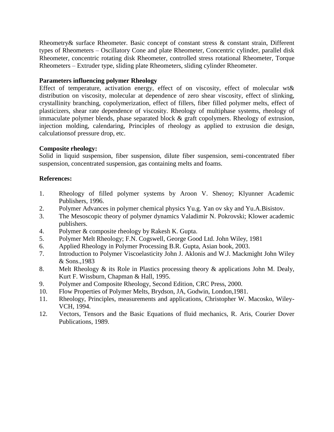Rheometry& surface Rheometer. Basic concept of constant stress & constant strain, Different types of Rheometers – Oscillatory Cone and plate Rheometer, Concentric cylinder, parallel disk Rheometer, concentric rotating disk Rheometer, controlled stress rotational Rheometer, Torque Rheometers – Extruder type, sliding plate Rheometers, sliding cylinder Rheometer.

# **Parameters influencing polymer Rheology**

Effect of temperature, activation energy, effect of on viscosity, effect of molecular wt& distribution on viscosity, molecular at dependence of zero shear viscosity, effect of slinking, crystallinity branching, copolymerization, effect of fillers, fiber filled polymer melts, effect of plasticizers, shear rate dependence of viscosity. Rheology of multiphase systems, rheology of immaculate polymer blends, phase separated block & graft copolymers. Rheology of extrusion, injection molding, calendaring, Principles of rheology as applied to extrusion die design, calculationsof pressure drop, etc.

# **Composite rheology:**

Solid in liquid suspension, fiber suspension, dilute fiber suspension, semi-concentrated fiber suspension, concentrated suspension, gas containing melts and foams.

- 1. Rheology of filled polymer systems by Aroon V. Shenoy; Klyunner Academic Publishers, 1996.
- 2. Polymer Advances in polymer chemical physics Yu.g. Yan ov sky and Yu.A.Bisistov.
- 3. The Mesoscopic theory of polymer dynamics Valadimir N. Pokrovski; Klower academic publishers.
- 4. Polymer & composite rheology by Rakesh K. Gupta.
- 5. Polymer Melt Rheology; F.N. Cogswell, George Good Ltd. John Wiley, 1981
- 6. Applied Rheology in Polymer Processing B.R. Gupta, Asian book, 2003.
- 7. Introduction to Polymer Viscoelasticity John J. Aklonis and W.J. Mackmight John Wiley & Sons.,1983
- 8. Melt Rheology & its Role in Plastics processing theory & applications John M. Dealy, Kurt F. Wissburn, Chapman & Hall, 1995.
- 9. Polymer and Composite Rheology, Second Edition, CRC Press, 2000.
- 10. Flow Properties of Polymer Melts, Brydson, JA, Godwin, London,1981.
- 11. Rheology, Principles, measurements and applications, Christopher W. Macosko, Wiley-VCH, 1994.
- 12. Vectors, Tensors and the Basic Equations of fluid mechanics, R. Aris, Courier Dover Publications, 1989.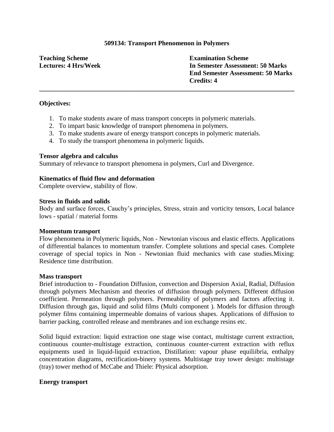#### **509134: Transport Phenomenon in Polymers**

**\_\_\_\_\_\_\_\_\_\_\_\_\_\_\_\_\_\_\_\_\_\_\_\_\_\_\_\_\_\_\_\_\_\_\_\_\_\_\_\_\_\_\_\_\_\_\_\_\_\_\_\_\_\_\_\_\_\_\_\_\_\_\_\_\_\_\_\_\_\_\_\_\_\_\_\_\_\_**

# **Teaching Scheme Lectures: 4 Hrs/Week**

**Examination Scheme In Semester Assessment: 50 Marks End Semester Assessment: 50 Marks Credits: 4**

#### **Objectives:**

- 1. To make students aware of mass transport concepts in polymeric materials.
- 2. To impart basic knowledge of transport phenomena in polymers.
- 3. To make students aware of energy transport concepts in polymeric materials.
- 4. To study the transport phenomena in polymeric liquids.

#### **Tensor algebra and calculus**

Summary of relevance to transport phenomena in polymers, Curl and Divergence.

#### **Kinematics of fluid flow and deformation**

Complete overview, stability of flow.

#### **Stress in fluids and solids**

Body and surface forces, Cauchy"s principles, Stress, strain and vorticity tensors, Local balance lows - spatial / material forms

#### **Momentum transport**

Flow phenomena in Polymeric liquids, Non - Newtonian viscous and elastic effects. Applications of differential balances to momentum transfer. Complete solutions and special cases. Complete coverage of special topics in Non - Newtonian fluid mechanics with case studies.Mixing: Residence time distribution.

#### **Mass transport**

Brief introduction to - Foundation Diffusion, convection and Dispersion Axial, Radial, Diffusion through polymers Mechanism and theories of diffusion through polymers. Different diffusion coefficient. Permeation through polymers. Permeability of polymers and factors affecting it. Diffusion through gas, liquid and solid films (Multi component ). Models for diffusion through polymer films containing impermeable domains of various shapes. Applications of diffusion to barrier packing, controlled release and membranes and ion exchange resins etc.

Solid liquid extraction: liquid extraction one stage wise contact, multistage current extraction, continuous counter-multistage extraction, continuous counter-current extraction with reflux equipments used in liquid-liquid extraction, Distillation: vapour phase equiliibria, enthalpy concentration diagrams, rectification-binery systems. Multistage tray tower design: multistage (tray) tower method of McCabe and Thiele: Physical adsorption.

#### **Energy transport**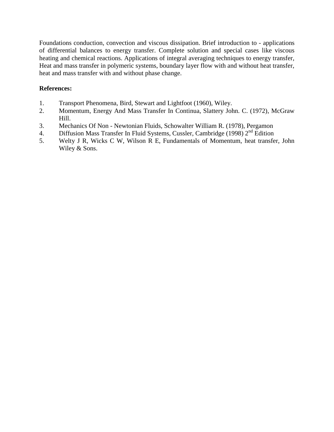Foundations conduction, convection and viscous dissipation. Brief introduction to - applications of differential balances to energy transfer. Complete solution and special cases like viscous heating and chemical reactions. Applications of integral averaging techniques to energy transfer, Heat and mass transfer in polymeric systems, boundary layer flow with and without heat transfer, heat and mass transfer with and without phase change.

- 1. Transport Phenomena, Bird, Stewart and Lightfoot (1960), Wiley.
- 2. Momentum, Energy And Mass Transfer In Continua, Slattery John. C. (1972), McGraw Hill.
- 3. Mechanics Of Non Newtonian Fluids, Schowalter William R. (1978), Pergamon
- 4. Diffusion Mass Transfer In Fluid Systems, Cussler, Cambridge (1998) 2<sup>nd</sup> Edition
- 5. Welty J R, Wicks C W, Wilson R E, Fundamentals of Momentum, heat transfer, John Wiley & Sons.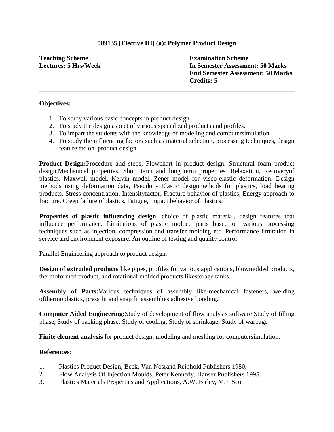# **509135 [Elective III] (a): Polymer Product Design**

**\_\_\_\_\_\_\_\_\_\_\_\_\_\_\_\_\_\_\_\_\_\_\_\_\_\_\_\_\_\_\_\_\_\_\_\_\_\_\_\_\_\_\_\_\_\_\_\_\_\_\_\_\_\_\_\_\_\_\_\_\_\_\_\_\_\_\_\_\_\_\_\_\_\_\_\_\_\_**

**Teaching Scheme Lectures: 5 Hrs/Week** **Examination Scheme In Semester Assessment: 50 Marks End Semester Assessment: 50 Marks Credits: 5**

### **Objectives:**

- 1. To study various basic concepts in product design
- 2. To study the design aspect of various specialized products and profiles.
- 3. To impart the students with the knowledge of modeling and computersimulation.
- 4. To study the influencing factors such as material selection, processing techniques, design feature etc on product design.

**Product Design:**Procedure and steps, Flowchart in product design. Structural foam product design,Mechanical properties, Short term and long term properties. Relaxation, Recoveryof plastics, Maxwell model, Kelvin model, Zener model for visco-elastic deformation. Design methods using deformation data, Pseudo - Elastic designmethods for plastics, load bearing products, Stress concentration, Intensityfactor, Fracture behavior of plastics, Energy approach to fracture. Creep failure ofplastics, Fatigue, Impact behavior of plastics.

**Properties of plastic influencing design**, choice of plastic material, design features that influence performance. Limitations of plastic molded parts based on various processing techniques such as injection, compression and transfer molding etc. Performance limitation in service and environment exposure. An outline of testing and quality control.

Parallel Engineering approach to product design.

**Design of extruded products** like pipes, profiles for various applications, blowmolded products, thermoformed product, and rotational molded products likestorage tanks.

**Assembly of Parts:**Various techniques of assembly like-mechanical fasteners, welding ofthermoplastics, press fit and snap fit assemblies adhesive bonding.

**Computer Aided Engineering:**Study of development of flow analysis software:Study of filling phase, Study of packing phase, Study of cooling, Study of shrinkage, Study of warpage

**Finite element analysis** for product design, modeling and meshing for computersimulation.

- 1. Plastics Product Design, Beck, Van Nosrand Reinhold Publishers,1980.
- 2. Flow Analysis Of Injection Moulds, Peter Kennedy, Hanser Publishers 1995.
- 3. Plastics Materials Properties and Applications, A.W. Birley, M.J. Scott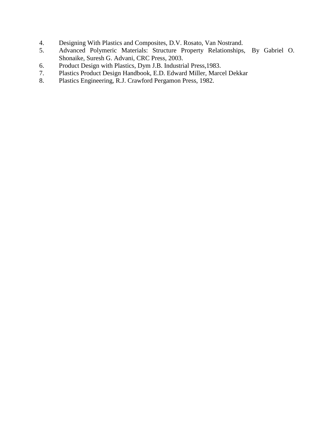- 4. Designing With Plastics and Composites, D.V. Rosato, Van Nostrand.<br>5. Advanced Polymeric Materials: Structure Property Relationships,
- 5. Advanced Polymeric Materials: Structure Property Relationships, By Gabriel O. Shonaike, Suresh G. Advani, CRC Press, 2003.
- 6. Product Design with Plastics, Dym J.B. Industrial Press,1983.
- 7. Plastics Product Design Handbook, E.D. Edward Miller, Marcel Dekkar
- 8. Plastics Engineering, R.J. Crawford Pergamon Press, 1982.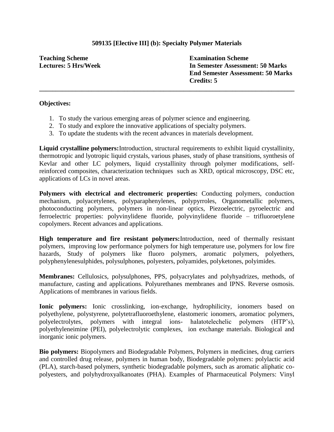# **509135 [Elective III] (b): Specialty Polymer Materials**

**\_\_\_\_\_\_\_\_\_\_\_\_\_\_\_\_\_\_\_\_\_\_\_\_\_\_\_\_\_\_\_\_\_\_\_\_\_\_\_\_\_\_\_\_\_\_\_\_\_\_\_\_\_\_\_\_\_\_\_\_\_\_\_\_\_\_\_\_\_\_\_\_\_\_\_\_\_\_**

**Teaching Scheme Lectures: 5 Hrs/Week** **Examination Scheme In Semester Assessment: 50 Marks End Semester Assessment: 50 Marks Credits: 5**

#### **Objectives:**

- 1. To study the various emerging areas of polymer science and engineering.
- 2. To study and explore the innovative applications of specialty polymers.
- 3. To update the students with the recent advances in materials development.

**Liquid crystalline polymers:**Introduction, structural requirements to exhibit liquid crystallinity, thermotropic and lyotropic liquid crystals, various phases, study of phase transitions, synthesis of Kevlar and other LC polymers, liquid crystallinity through polymer modifications, selfreinforced composites, characterization techniques such as XRD, optical microscopy, DSC etc, applications of LCs in novel areas.

**Polymers with electrical and electromeric properties:** Conducting polymers, conduction mechanism, polyacetylenes, polyparaphenylenes, polypyrroles, Organometallic polymers, photoconducting polymers, polymers in non-linear optics, Piezoelectric, pyroelectric and ferroelectric properties: polyvinylidene fluoride, polyvinylidene fluoride – trifluoroetylene copolymers. Recent advances and applications.

**High temperature and fire resistant polymers:**Introduction, need of thermally resistant polymers, improving low performance polymers for high temperature use, polymers for low fire hazards, Study of polymers like fluoro polymers, aromatic polymers, polyethers, polyphenylenesulphides, polysulphones, polyesters, polyamides, polyketones, polyimides.

**Membranes:** Cellulosics, polysulphones, PPS, polyacrylates and polyhyadrizes, methods, of manufacture, casting and applications. Polyurethanes membranes and IPNS. Reverse osmosis. Applications of membranes in various fields.

**Ionic polymers:** Ionic crosslinking, ion-exchange, hydrophilicity, ionomers based on polyethylene, polystyrene, polytetrafluoroethylene, elastomeric ionomers, aromatioc polymers, polyelectrolytes, polymers with integral ions- halatotelechelic polymers (HTP"s), polyethyleneimine (PEI), polyelectrolytic complexes, ion exchange materials. Biological and inorganic ionic polymers.

**Bio polymers:** Biopolymers and Biodegradable Polymers, Polymers in medicines, drug carriers and controlled drug release, polymers in human body, Biodegradable polymers: polylactic acid (PLA), starch-based polymers, synthetic biodegradable polymers, such as aromatic aliphatic copolyesters, and polyhydroxyalkanoates (PHA). Examples of Pharmaceutical Polymers: Vinyl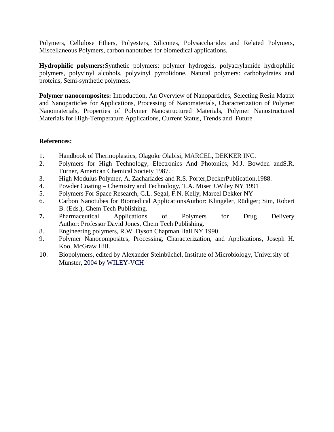Polymers, Cellulose Ethers, Polyesters, Silicones, Polysaccharides and Related Polymers, Miscellaneous Polymers, carbon nanotubes for biomedical applications.

**Hydrophilic polymers:**Synthetic polymers: polymer hydrogels, polyacrylamide hydrophilic polymers, polyvinyl alcohols, polyvinyl pyrrolidone, Natural polymers: carbohydrates and proteins, Semi-synthetic polymers.

**Polymer nanocomposites:** Introduction, An Overview of Nanoparticles, Selecting Resin Matrix and Nanoparticles for Applications, Processing of Nanomaterials, Characterization of Polymer Nanomaterials, Properties of Polymer Nanostructured Materials, Polymer Nanostructured Materials for High-Temperature Applications, Current Status, Trends and Future

- 1. Handbook of Thermoplastics, Olagoke Olabisi, MARCEL, DEKKER INC.
- 2. Polymers for High Technology, Electronics And Photonics, M.J. Bowden andS.R. Turner, American Chemical Society 1987.
- 3. High Modulus Polymer, A. Zachariades and R.S. Porter,DeckerPublication,1988.
- 4. Powder Coating Chemistry and Technology, T.A. Miser J.Wiley NY 1991
- 5. Polymers For Space Research, C.L. Segal, F.N. Kelly, Marcel Dekker NY
- 6. Carbon Nanotubes for Biomedical ApplicationsAuthor: Klingeler, Rüdiger; Sim, Robert B. (Eds.), Chem Tech Publishing.
- **7.** Pharmaceutical Applications of Polymers for Drug Delivery Author: Professor David Jones, Chem Tech Publishing.
- 8. Engineering polymers, R.W. Dyson Chapman Hall NY 1990
- 9. Polymer Nanocomposites, Processing, Characterization, and Applications, Joseph H. Koo, McGraw Hill.
- 10. Biopolymers, edited by Alexander Steinbüchel, Institute of Microbiology, University of Münster, 2004 by WILEY-VCH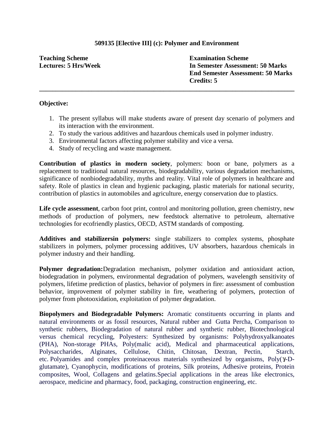# **509135 [Elective III] (c): Polymer and Environment**

**\_\_\_\_\_\_\_\_\_\_\_\_\_\_\_\_\_\_\_\_\_\_\_\_\_\_\_\_\_\_\_\_\_\_\_\_\_\_\_\_\_\_\_\_\_\_\_\_\_\_\_\_\_\_\_\_\_\_\_\_\_\_\_\_\_\_\_\_\_\_\_\_\_\_\_\_\_\_**

**Teaching Scheme Lectures: 5 Hrs/Week** **Examination Scheme In Semester Assessment: 50 Marks End Semester Assessment: 50 Marks Credits: 5**

#### **Objective:**

- 1. The present syllabus will make students aware of present day scenario of polymers and its interaction with the environment.
- 2. To study the various additives and hazardous chemicals used in polymer industry.
- 3. Environmental factors affecting polymer stability and vice a versa.
- 4. Study of recycling and waste management.

**Contribution of plastics in modern society**, polymers: boon or bane, polymers as a replacement to traditional natural resources, biodegradability, various degradation mechanisms, significance of nonbiodegradability, myths and reality. Vital role of polymers in healthcare and safety. Role of plastics in clean and hygienic packaging, plastic materials for national security, contribution of plastics in automobiles and agriculture, energy conservation due to plastics.

**Life cycle assessment**, carbon foot print, control and monitoring pollution, green chemistry, new methods of production of polymers, new feedstock alternative to petroleum, alternative technologies for ecofriendly plastics, OECD, ASTM standards of composting.

**Additives and stabilizersin polymers:** single stabilizers to complex systems, phosphate stabilizers in polymers, polymer processing additives, UV absorbers, hazardous chemicals in polymer industry and their handling.

**Polymer degradation:**Degradation mechanism, polymer oxidation and antioxidant action, biodegradation in polymers, environmental degradation of polymers, wavelength sensitivity of polymers, lifetime prediction of plastics, behavior of polymers in fire: assessment of combustion behavior, improvement of polymer stability in fire, weathering of polymers, protection of polymer from photooxidation, exploitation of polymer degradation.

**Biopolymers and Biodegradable Polymers:** Aromatic constituents occurring in plants and natural environments or as fossil resources, Natural rubber and Gutta Percha, Comparison to synthetic rubbers, Biodegradation of natural rubber and synthetic rubber, Biotechnological versus chemical recycling, Polyesters: Synthesized by organisms: Polyhydroxyalkanoates (PHA), Non-storage PHAs, Poly(malic acid), Medical and pharmaceutical applications, Polysaccharides, Alginates, Cellulose, Chitin, Chitosan, Dextran, Pectin, Starch, etc. Polyamides and complex proteinaceous materials synthesized by organisms, Poly(Y-Dglutamate), Cyanophycin, modifications of proteins, Silk proteins, Adhesive proteins, Protein composites, Wool, Collagens and gelatins.Special applications in the areas like electronics, aerospace, medicine and pharmacy, food, packaging, construction engineering, etc.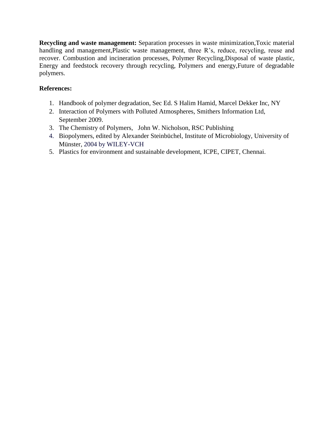**Recycling and waste management:** Separation processes in waste minimization,Toxic material handling and management,Plastic waste management, three R's, reduce, recycling, reuse and recover. Combustion and incineration processes, Polymer Recycling,Disposal of waste plastic, Energy and feedstock recovery through recycling, Polymers and energy,Future of degradable polymers.

- 1. Handbook of polymer degradation, Sec Ed. S Halim Hamid, Marcel Dekker Inc, NY
- 2. Interaction of Polymers with Polluted Atmospheres, Smithers Information Ltd, September 2009.
- 3. The Chemistry of Polymers, John W. Nicholson, RSC Publishing
- 4. Biopolymers, edited by Alexander Steinbüchel, Institute of Microbiology, University of Münster, 2004 by WILEY-VCH
- 5. Plastics for environment and sustainable development, ICPE, CIPET, Chennai.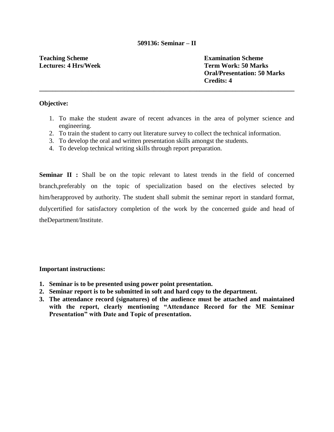#### **509136: Seminar – II**

**\_\_\_\_\_\_\_\_\_\_\_\_\_\_\_\_\_\_\_\_\_\_\_\_\_\_\_\_\_\_\_\_\_\_\_\_\_\_\_\_\_\_\_\_\_\_\_\_\_\_\_\_\_\_\_\_\_\_\_\_\_\_\_\_\_\_\_\_\_\_\_\_\_\_\_\_\_\_**

# **Teaching Scheme Lectures: 4 Hrs/Week**

**Examination Scheme Term Work: 50 Marks Oral/Presentation: 50 Marks Credits: 4**

#### **Objective:**

- 1. To make the student aware of recent advances in the area of polymer science and engineering.
- 2. To train the student to carry out literature survey to collect the technical information.
- 3. To develop the oral and written presentation skills amongst the students.
- 4. To develop technical writing skills through report preparation.

**Seminar II :** Shall be on the topic relevant to latest trends in the field of concerned branch,preferably on the topic of specialization based on the electives selected by him/herapproved by authority. The student shall submit the seminar report in standard format, dulycertified for satisfactory completion of the work by the concerned guide and head of theDepartment/Institute.

- **1. Seminar is to be presented using power point presentation.**
- **2. Seminar report is to be submitted in soft and hard copy to the department.**
- **3. The attendance record (signatures) of the audience must be attached and maintained with the report, clearly mentioning "Attendance Record for the ME Seminar Presentation" with Date and Topic of presentation.**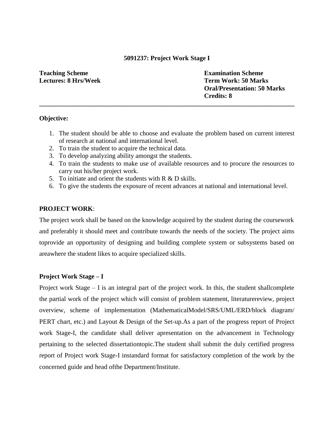#### **5091237: Project Work Stage I**

**\_\_\_\_\_\_\_\_\_\_\_\_\_\_\_\_\_\_\_\_\_\_\_\_\_\_\_\_\_\_\_\_\_\_\_\_\_\_\_\_\_\_\_\_\_\_\_\_\_\_\_\_\_\_\_\_\_\_\_\_\_\_\_\_\_\_\_\_\_\_\_\_\_\_\_\_\_\_**

**Teaching Scheme Lectures: 8 Hrs/Week** **Examination Scheme Term Work: 50 Marks Oral/Presentation: 50 Marks Credits: 8**

#### **Objective:**

- 1. The student should be able to choose and evaluate the problem based on current interest of research at national and international level.
- 2. To train the student to acquire the technical data.
- 3. To develop analyzing ability amongst the students.
- 4. To train the students to make use of available resources and to procure the resources to carry out his/her project work.
- 5. To initiate and orient the students with R & D skills.
- 6. To give the students the exposure of recent advances at national and international level.

#### **PROJECT WORK**:

The project work shall be based on the knowledge acquired by the student during the coursework and preferably it should meet and contribute towards the needs of the society. The project aims toprovide an opportunity of designing and building complete system or subsystems based on areawhere the student likes to acquire specialized skills.

#### **Project Work Stage – I**

Project work Stage – I is an integral part of the project work. In this, the student shallcomplete the partial work of the project which will consist of problem statement, literaturereview, project overview, scheme of implementation (MathematicalModel/SRS/UML/ERD/block diagram/ PERT chart, etc.) and Layout & Design of the Set-up.As a part of the progress report of Project work Stage-I, the candidate shall deliver apresentation on the advancement in Technology pertaining to the selected dissertationtopic.The student shall submit the duly certified progress report of Project work Stage-I instandard format for satisfactory completion of the work by the concerned guide and head ofthe Department/Institute.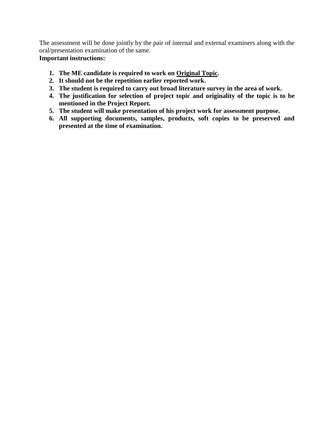The assessment will be done jointly by the pair of internal and external examiners along with the oral/presentation examination of the same.

- **1. The ME candidate is required to work on Original Topic.**
- **2. It should not be the repetition earlier reported work.**
- **3. The student is required to carry out broad literature survey in the area of work.**
- **4. The justification for selection of project topic and originality of the topic is to be mentioned in the Project Report.**
- **5. The student will make presentation of his project work for assessment purpose.**
- **6. All supporting documents, samples, products, soft copies to be preserved and presented at the time of examination.**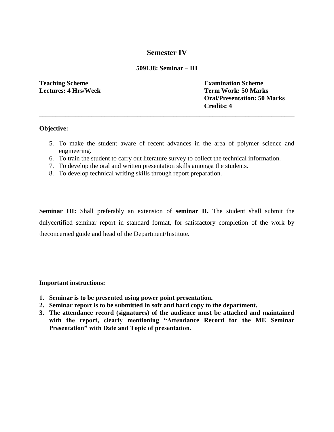# **Semester IV**

### **509138: Seminar – III**

**\_\_\_\_\_\_\_\_\_\_\_\_\_\_\_\_\_\_\_\_\_\_\_\_\_\_\_\_\_\_\_\_\_\_\_\_\_\_\_\_\_\_\_\_\_\_\_\_\_\_\_\_\_\_\_\_\_\_\_\_\_\_\_\_\_\_\_\_\_\_\_\_\_\_\_\_\_\_**

**Teaching Scheme Lectures: 4 Hrs/Week** **Examination Scheme Term Work: 50 Marks Oral/Presentation: 50 Marks Credits: 4**

#### **Objective:**

- 5. To make the student aware of recent advances in the area of polymer science and engineering.
- 6. To train the student to carry out literature survey to collect the technical information.
- 7. To develop the oral and written presentation skills amongst the students.
- 8. To develop technical writing skills through report preparation.

**Seminar III:** Shall preferably an extension of **seminar II.** The student shall submit the dulycertified seminar report in standard format, for satisfactory completion of the work by theconcerned guide and head of the Department/Institute.

- **1. Seminar is to be presented using power point presentation.**
- **2. Seminar report is to be submitted in soft and hard copy to the department.**
- **3. The attendance record (signatures) of the audience must be attached and maintained with the report, clearly mentioning "Attendance Record for the ME Seminar Presentation" with Date and Topic of presentation.**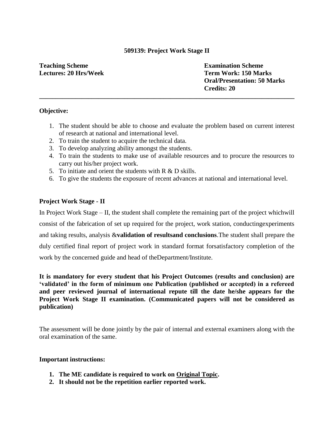### **509139: Project Work Stage II**

**\_\_\_\_\_\_\_\_\_\_\_\_\_\_\_\_\_\_\_\_\_\_\_\_\_\_\_\_\_\_\_\_\_\_\_\_\_\_\_\_\_\_\_\_\_\_\_\_\_\_\_\_\_\_\_\_\_\_\_\_\_\_\_\_\_\_\_\_\_\_\_\_\_\_\_\_\_\_**

# **Teaching Scheme Lectures: 20 Hrs/Week**

**Examination Scheme Term Work: 150 Marks Oral/Presentation: 50 Marks Credits: 20**

# **Objective:**

- 1. The student should be able to choose and evaluate the problem based on current interest of research at national and international level.
- 2. To train the student to acquire the technical data.
- 3. To develop analyzing ability amongst the students.
- 4. To train the students to make use of available resources and to procure the resources to carry out his/her project work.
- 5. To initiate and orient the students with  $R \& D$  skills.
- 6. To give the students the exposure of recent advances at national and international level.

# **Project Work Stage - II**

In Project Work Stage – II, the student shall complete the remaining part of the project whichwill consist of the fabrication of set up required for the project, work station, conductingexperiments and taking results, analysis &**validation of resultsand conclusions**.The student shall prepare the duly certified final report of project work in standard format forsatisfactory completion of the work by the concerned guide and head of theDepartment/Institute.

**It is mandatory for every student that his Project Outcomes (results and conclusion) are "validated" in the form of minimum one Publication (published or accepted) in a refereed and peer reviewed journal of international repute till the date he/she appears for the Project Work Stage II examination. (Communicated papers will not be considered as publication)**

The assessment will be done jointly by the pair of internal and external examiners along with the oral examination of the same.

- **1. The ME candidate is required to work on Original Topic.**
- **2. It should not be the repetition earlier reported work.**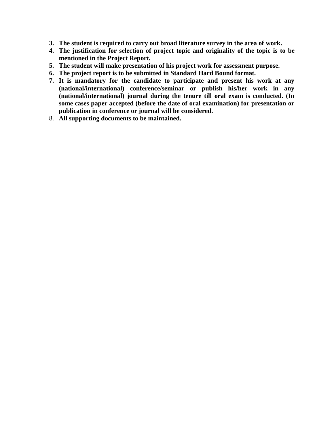- **3. The student is required to carry out broad literature survey in the area of work.**
- **4. The justification for selection of project topic and originality of the topic is to be mentioned in the Project Report.**
- **5. The student will make presentation of his project work for assessment purpose.**
- **6. The project report is to be submitted in Standard Hard Bound format.**
- **7. It is mandatory for the candidate to participate and present his work at any (national/international) conference/seminar or publish his/her work in any (national/international) journal during the tenure till oral exam is conducted. (In some cases paper accepted (before the date of oral examination) for presentation or publication in conference or journal will be considered.**
- 8. **All supporting documents to be maintained.**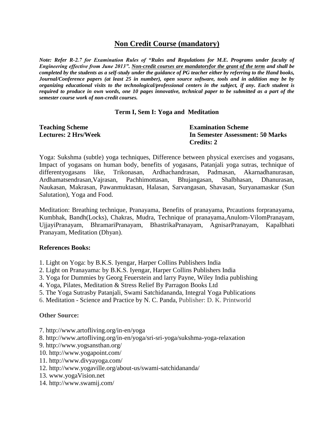# **Non Credit Course (mandatory)**

*Note: Refer R-2.7 for Examination Rules of "Rules and Regulations for M.E. Programs under faculty of Engineering effective from June 2013". Non-credit courses are mandatoryfor the grant of the term and shall be completed by the students as a self-study under the guidance of PG teacher either by referring to the Hand books, Journal/Conference papers (at least 25 in number), open source software, tools and in addition may be by organizing educational visits to the technological/professional centers in the subject, if any. Each student is required to produce in own words, one 10 pages innovative, technical paper to be submitted as a part of the semester course work of non-credit courses.*

# **Term I, Sem I: Yoga and Meditation**

| <b>Teaching Scheme</b>      | <b>Examination Scheme</b>        |
|-----------------------------|----------------------------------|
| <b>Lectures: 2 Hrs/Week</b> | In Semester Assessment: 50 Marks |
|                             | <b>Credits: 2</b>                |

Yoga: Sukshma (subtle) yoga techniques, Difference between physical exercises and yogasans, Impact of yogasans on human body, benefits of yogasans, Patanjali yoga sutras, technique of differentyogasans like, Trikonasan, Ardhachandrasan, Padmasan, Akarnadhanurasan, Ardhamatsendrasan,Vajrasan, Pachhimottasan, Bhujangasan, Shalbhasan, Dhanurasan, Naukasan, Makrasan, Pawanmuktasan, Halasan, Sarvangasan, Shavasan, Suryanamaskar (Sun Salutation), Yoga and Food.

Meditation: Breathing technique, Pranayama, Benefits of pranayama, Prcautions forpranayama, Kumbhak, Bandh(Locks), Chakras, Mudra, Technique of pranayama,Anulom-VilomPranayam, UjjayiPranayam, BhramariPranayam, BhastrikaPranayam, AgnisarPranayam, Kapalbhati Pranayam, Meditation (Dhyan).

### **References Books:**

- 1. Light on Yoga: by B.K.S. Iyengar, Harper Collins Publishers India
- 2. Light on Pranayama: by B.K.S. Iyengar, Harper Collins Publishers India
- 3. Yoga for Dummies by Georg Feuerstein and larry Payne, Wiley India publishing
- 4. Yoga, Pilates, Meditation & Stress Relief By Parragon Books Ltd
- 5. The Yoga Sutrasby Patanjali, Swami Satchidananda, Integral Yoga Publications
- 6. Meditation Science and Practice by N. C. Panda, Publisher: D. K. Printworld

### **Other Source:**

- 7. http://www.artofliving.org/in-en/yoga
- 8. http://www.artofliving.org/in-en/yoga/sri-sri-yoga/sukshma-yoga-relaxation
- 9. http://www.yogsansthan.org/
- 10. http://www.yogapoint.com/
- 11. http://www.divyayoga.com/
- 12. http://www.yogaville.org/about-us/swami-satchidananda/
- 13. www.yogaVision.net
- 14. http://www.swamij.com/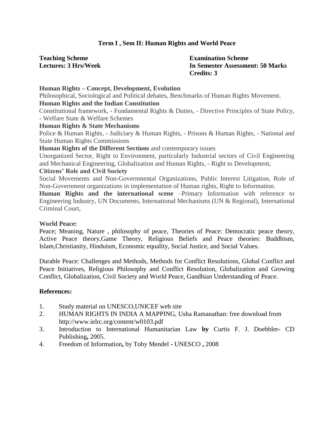# **Term I , Sem II: Human Rights and World Peace**

| <b>Teaching Scheme</b> |                             |
|------------------------|-----------------------------|
|                        | <b>Lectures: 3 Hrs/Week</b> |

**Examination Scheme In Semester Assessment: 50 Marks Credits: 3**

# **Human Rights – Concept, Development, Evolution** Philosophical, Sociological and Political debates, Benchmarks of Human Rights Movement. **Human Rights and the Indian Constitution** Constitutional framework, - Fundamental Rights & Duties, - Directive Principles of State Policy, - Welfare State & Welfare Schemes **Human Rights & State Mechanisms** Police & Human Rights, - Judiciary & Human Rights, - Prisons & Human Rights, - National and State Human Rights Commissions **Human Rights of the Different Sections** and contemporary issues Unorganized Sector, Right to Environment, particularly Industrial sectors of Civil Engineering and Mechanical Engineering, Globalization and Human Rights, - Right to Development, **Citizens" Role and Civil Society** Social Movements and Non-Governmental Organizations, Public Interest Litigation, Role of Non-Government organizations in implementation of Human rights, Right to Information. **Human Rights and the international scene** –Primary Information with reference to Engineering Industry, UN Documents, International Mechanisms (UN & Regional), International Criminal Court,

#### **World Peace:**

Peace; Meaning, Nature , philosophy of peace, Theories of Peace: Democratic peace theory, Active Peace theory,Game Theory, Religious Beliefs and Peace theories: Buddhism, Islam,Christianity, Hinduism, Economic equality, Social Justice, and Social Values.

Durable Peace: Challenges and Methods, Methods for Conflict Resolutions, Global Conflict and Peace Initiatives, Religious Philosophy and Conflict Resolution, Globalization and Growing Conflict, Globalization, Civil Society and World Peace, Gandhian Understanding of Peace.

- 1. Study material on UNESCO,UNICEF web site
- 2. HUMAN RIGHTS IN INDIA A MAPPING, Usha Ramanathan: free download from http://www.ielrc.org/content/w0103.pdf
- 3. Introduction to International Humanitarian Law **by** Curtis F. J. Doebbler**-** CD Publishing**,** 2005.
- 4. Freedom of Information**,** by Toby Mendel **-** UNESCO **,** 2008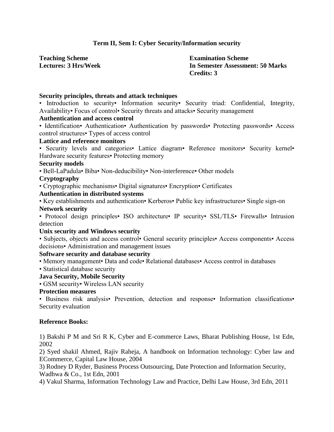# **Term II, Sem I: Cyber Security/Information security**

**Teaching Scheme Lectures: 3 Hrs/Week** **Examination Scheme In Semester Assessment: 50 Marks Credits: 3**

#### **Security principles, threats and attack techniques**

• Introduction to security• Information security• Security triad: Confidential, Integrity, Availability• Focus of control• Security threats and attacks• Security management

# **Authentication and access control**

• Identification• Authentication• Authentication by passwords• Protecting passwords• Access control structures• Types of access control

#### **Lattice and reference monitors**

• Security levels and categories• Lattice diagram• Reference monitors• Security kernel• Hardware security features• Protecting memory

#### **Security models**

• Bell-LaPadula• Biba• Non-deducibility• Non-interference• Other models

#### **Cryptography**

• Cryptographic mechanisms• Digital signatures• Encryption• Certificates

#### **Authentication in distributed systems**

• Key establishments and authentication• Kerberos• Public key infrastructures• Single sign-on **Network security**

• Protocol design principles• ISO architecture• IP security• SSL/TLS• Firewalls• Intrusion detection

### **Unix security and Windows security**

• Subjects, objects and access control• General security principles• Access components• Access decisions• Administration and management issues

### **Software security and database security**

• Memory management• Data and code• Relational databases• Access control in databases

# • Statistical database security

# **Java Security, Mobile Security**

• GSM security• Wireless LAN security

# **Protection measures**

• Business risk analysis• Prevention, detection and response• Information classifications• Security evaluation

### **Reference Books:**

1) Bakshi P M and Sri R K, Cyber and E-commerce Laws, Bharat Publishing House, 1st Edn, 2002

2) Syed shakil Ahmed, Rajiv Raheja, A handbook on Information technology: Cyber law and ECommerce, Capital Law House, 2004

3) Rodney D Ryder, Business Process Outsourcing, Date Protection and Information Security, Wadhwa & Co., 1st Edn, 2001

4) Vakul Sharma, Information Technology Law and Practice, Delhi Law House, 3rd Edn, 2011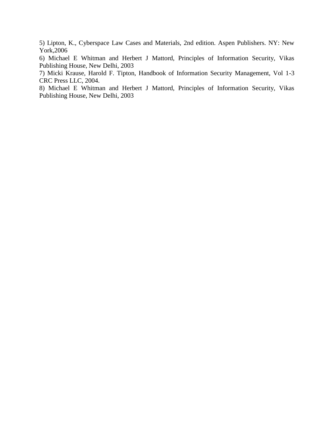5) Lipton, K., Cyberspace Law Cases and Materials, 2nd edition. Aspen Publishers. NY: New York,2006

6) Michael E Whitman and Herbert J Mattord, Principles of Information Security, Vikas Publishing House, New Delhi, 2003

7) Micki Krause, Harold F. Tipton, Handbook of Information Security Management, Vol 1-3 CRC Press LLC, 2004.

8) Michael E Whitman and Herbert J Mattord, Principles of Information Security, Vikas Publishing House, New Delhi, 2003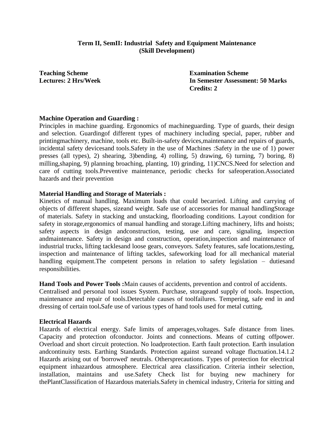### **Term II, SemII: Industrial Safety and Equipment Maintenance (Skill Development)**

**Teaching Scheme Lectures: 2 Hrs/Week** **Examination Scheme In Semester Assessment: 50 Marks Credits: 2**

#### **Machine Operation and Guarding :**

Principles in machine guarding. Ergonomics of machineguarding. Type of guards, their design and selection. Guardingof different types of machinery including special, paper, rubber and printingmachinery, machine, tools etc. Built-in-safety devices,maintenance and repairs of guards, incidental safety devicesand tools.Safety in the use of Machines :Safety in the use of 1) power presses (all types), 2) shearing, 3)bending, 4) rolling, 5) drawing, 6) turning, 7) boring, 8) milling,shaping, 9) planning broaching, planting, 10) grinding, 11)CNCS.Need for selection and care of cutting tools.Preventive maintenance, periodic checks for safeoperation.Associated hazards and their prevention

#### **Material Handling and Storage of Materials :**

Kinetics of manual handling. Maximum loads that could becarried. Lifting and carrying of objects of different shapes, sizeand weight. Safe use of accessories for manual handlingStorage of materials. Safety in stacking and unstacking, floorloading conditions. Layout condition for safety in storage,ergonomics of manual handling and storage.Lifting machinery, lifts and hoists; safety aspects in design andconstruction, testing, use and care, signaling, inspection andmaintenance. Safety in design and construction, operation,inspection and maintenance of industrial trucks, lifting tacklesand loose gears, conveyors. Safety features, safe locations,testing, inspection and maintenance of lifting tackles, safeworking load for all mechanical material handling equipment. The competent persons in relation to safety legislation – duties and responsibilities.

#### **Hand Tools and Power Tools :**Main causes of accidents, prevention and control of accidents.

Centralised and personal tool issues System. Purchase, storageand supply of tools. Inspection, maintenance and repair of tools.Detectable causes of toolfailures. Tempering, safe end in and dressing of certain tool**.**Safe use of various types of hand tools used for metal cutting,

#### **Electrical Hazards**

Hazards of electrical energy. Safe limits of amperages,voltages. Safe distance from lines. Capacity and protection ofconductor. Joints and connections. Means of cutting offpower. Overload and short circuit protection. No loadprotection. Earth fault protection. Earth insulation andcontinuity tests. Earthing Standards. Protection against sureand voltage fluctuation.14.1.2 Hazards arising out of 'borrowed' neutrals. Othersprecautions. Types of protection for electrical equipment inhazardous atmosphere. Electrical area classification. Criteria intheir selection, installation, maintains and use.Safety Check list for buying new machinery for thePlantClassification of Hazardous materials.Safety in chemical industry, Criteria for sitting and